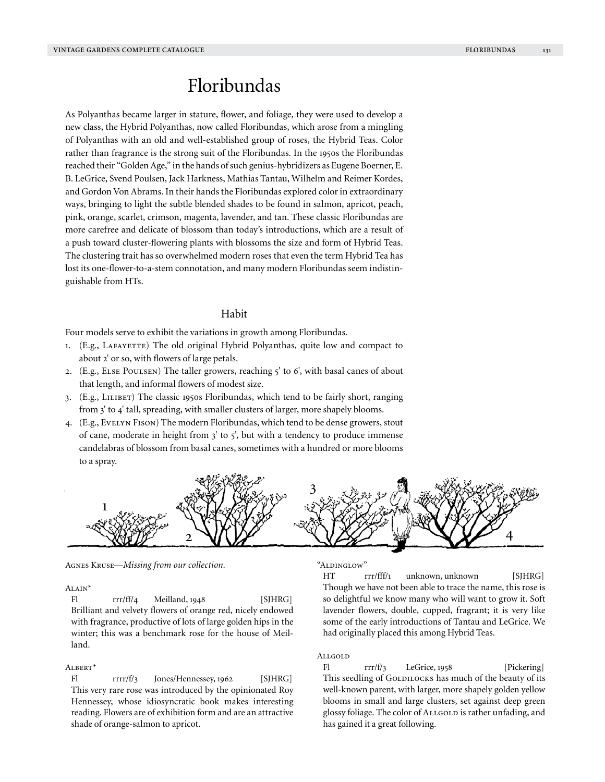# Floribundas

As Polyanthas became larger in stature, flower, and foliage, they were used to develop a new class, the Hybrid Polyanthas, now called Floribundas, which arose from a mingling of Polyanthas with an old and well-established group of roses, the Hybrid Teas. Color rather than fragrance is the strong suit of the Floribundas. In the 1950s the Floribundas reached their "Golden Age," in the hands of such genius-hybridizers as Eugene Boerner, E. B. LeGrice, Svend Poulsen, Jack Harkness, Mathias Tantau, Wilhelm and Reimer Kordes, and Gordon Von Abrams. In their hands the Floribundas explored color in extraordinary ways, bringing to light the subtle blended shades to be found in salmon, apricot, peach, pink, orange, scarlet, crimson, magenta, lavender, and tan. These classic Floribundas are more carefree and delicate of blossom than today's introductions, which are a result of a push toward cluster-flowering plants with blossoms the size and form of Hybrid Teas. The clustering trait has so overwhelmed modern roses that even the term Hybrid Tea has lost its one-flower-to-a-stem connotation, and many modern Floribundas seem indistinguishable from HTs.

# Habit

Four models serve to exhibit the variations in growth among Floribundas.

- 1. (E.g., LAFAYETTE) The old original Hybrid Polyanthas, quite low and compact to about 2' or so, with flowers of large petals.
- 2. (E.g., Else Poulsen) The taller growers, reaching 5' to 6', with basal canes of about that length, and informal flowers of modest size.
- 3. (E.g., Lilibet) The classic 1950s Floribundas, which tend to be fairly short, ranging from 3' to 4' tall, spreading, with smaller clusters of larger, more shapely blooms.
- 4. (E.g., Evelyn Fison) The modern Floribundas, which tend to be dense growers, stout of cane, moderate in height from  $3'$  to  $5'$ , but with a tendency to produce immense candelabras of blossom from basal canes, sometimes with a hundred or more blooms to a spray.



Agnes Kruse—*Missing from our collection.*

# Alain\*

Fl rrr/ff/4 Meilland, 1948 [SJHRG] Brilliant and velvety flowers of orange red, nicely endowed with fragrance, productive of lots of large golden hips in the winter; this was a benchmark rose for the house of Meilland.

### Albert\*

Fl rrrr/f/3 Jones/Hennessey, 1962 [SJHRG] This very rare rose was introduced by the opinionated Roy Hennessey, whose idiosyncratic book makes interesting reading. Flowers are of exhibition form and are an attractive shade of orange-salmon to apricot.

"Aldinglow"

HT rrr/fff/1 unknown, unknown [SJHRG] Though we have not been able to trace the name, this rose is so delightful we know many who will want to grow it. Soft lavender flowers, double, cupped, fragrant; it is very like some of the early introductions of Tantau and LeGrice. We had originally placed this among Hybrid Teas.

# Allgold

Fl  $rr/f/3$  LeGrice, 1958 [Pickering] This seedling of GOLDILOCKS has much of the beauty of its well-known parent, with larger, more shapely golden yellow blooms in small and large clusters, set against deep green glossy foliage. The color of ALLGOLD is rather unfading, and has gained it a great following.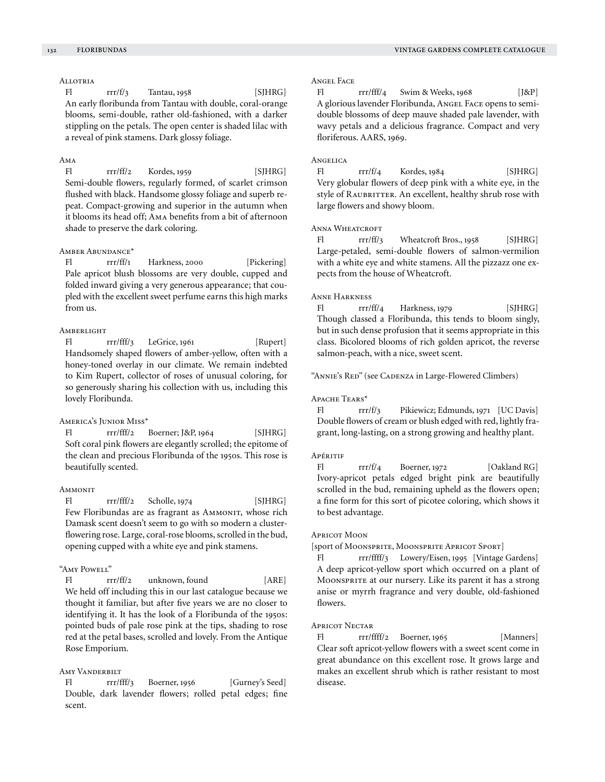# **ALLOTRIA**

Fl  $rrf_3$  Tantau, 1958 [SJHRG] An early floribunda from Tantau with double, coral-orange blooms, semi-double, rather old-fashioned, with a darker stippling on the petals. The open center is shaded lilac with a reveal of pink stamens. Dark glossy foliage.

## Ama

Fl rrr/ff/2 Kordes, 1959 [SJHRG] Semi-double flowers, regularly formed, of scarlet crimson flushed with black. Handsome glossy foliage and superb repeat. Compact-growing and superior in the autumn when it blooms its head off; Ama benefits from a bit of afternoon shade to preserve the dark coloring.

# Amber Abundance\*

Fl rrr/ff/1 Harkness, 2000 [Pickering] Pale apricot blush blossoms are very double, cupped and folded inward giving a very generous appearance; that coupled with the excellent sweet perfume earns this high marks from us.

### **AMBERLIGHT**

Fl rrr/fff/3 LeGrice, 1961 [Rupert] Handsomely shaped flowers of amber-yellow, often with a honey-toned overlay in our climate. We remain indebted to Kim Rupert, collector of roses of unusual coloring, for so generously sharing his collection with us, including this lovely Floribunda.

### America's Junior Miss\*

Fl rrr/fff/2 Boerner; J&P, 1964 [SJHRG] Soft coral pink flowers are elegantly scrolled; the epitome of the clean and precious Floribunda of the 1950s. This rose is beautifully scented.

### **AMMONIT**

 $FI$   $rr/fft/2$  Scholle, 1974 [SJHRG] Few Floribundas are as fragrant as AMMONIT, whose rich Damask scent doesn't seem to go with so modern a clusterflowering rose. Large, coral-rose blooms, scrolled in the bud, opening cupped with a white eye and pink stamens.

### "Amy Powell"

Fl rrr/ff/2 unknown, found [ARE] We held off including this in our last catalogue because we thought it familiar, but after five years we are no closer to identifying it. It has the look of a Floribunda of the 1950s: pointed buds of pale rose pink at the tips, shading to rose red at the petal bases, scrolled and lovely. From the Antique Rose Emporium.

# AMY VANDERBILT

Fl rrr/fff/3 Boerner, 1956 [Gurney's Seed] Double, dark lavender flowers; rolled petal edges; fine scent.

### Angel Face

Fl  $rrr/fff/4$  Swim & Weeks, 1968 [J&P] A glorious lavender Floribunda, Angel Face opens to semidouble blossoms of deep mauve shaded pale lavender, with wavy petals and a delicious fragrance. Compact and very floriferous. AARS, 1969.

### Angelica

 $FI$   $rrr/f/4$  Kordes, 1984 [SJHRG] Very globular flowers of deep pink with a white eye, in the style of RAUBRITTER. An excellent, healthy shrub rose with large flowers and showy bloom.

### ANNA WHEATCROFT

Fl rrr/ff/3 Wheatcroft Bros., 1958 [SJHRG] Large-petaled, semi-double flowers of salmon-vermilion with a white eye and white stamens. All the pizzazz one expects from the house of Wheatcroft.

#### Anne Harkness

Fl  $rr\prime$  ff/4 Harkness, 1979 [SJHRG] Though classed a Floribunda, this tends to bloom singly, but in such dense profusion that it seems appropriate in this class. Bicolored blooms of rich golden apricot, the reverse salmon-peach, with a nice, sweet scent.

"Annie's Red" (see Cadenza in Large-Flowered Climbers)

### Apache Tears\*

Fl rrr/f/3 Pikiewicz; Edmunds, 1971 [UC Davis] Double flowers of cream or blush edged with red, lightly fragrant, long-lasting, on a strong growing and healthy plant.

### **Apéritif**

Fl  $rrf/4$  Boerner, 1972 [Oakland RG] Ivory-apricot petals edged bright pink are beautifully scrolled in the bud, remaining upheld as the flowers open; a fine form for this sort of picotee coloring, which shows it to best advantage.

#### Apricot Moon

[sport of MOONSPRITE, MOONSPRITE APRICOT SPORT]

Fl rrr/ffff/3 Lowery/Eisen, 1995 [Vintage Gardens] A deep apricot-yellow sport which occurred on a plant of Moonsprite at our nursery. Like its parent it has a strong anise or myrrh fragrance and very double, old-fashioned flowers.

# Apricot Nectar

Fl rrr/ffff/2 Boerner, 1965 [Manners] Clear soft apricot-yellow flowers with a sweet scent come in great abundance on this excellent rose. It grows large and makes an excellent shrub which is rather resistant to most disease.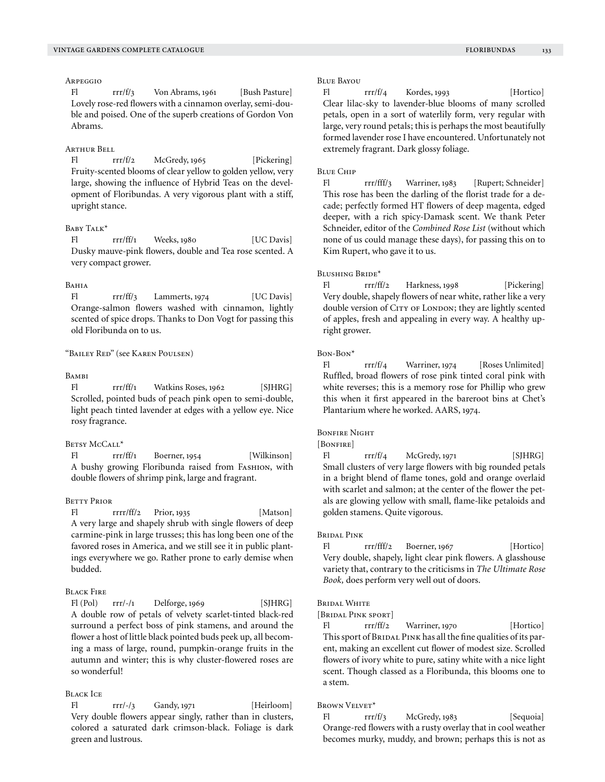### Arpeggio

Fl rrr/f/3 Von Abrams, 1961 [Bush Pasture] Lovely rose-red flowers with a cinnamon overlay, semi-double and poised. One of the superb creations of Gordon Von Abrams.

#### Arthur Bell

Fl rrr/f/2 McGredy, 1965 [Pickering] Fruity-scented blooms of clear yellow to golden yellow, very large, showing the influence of Hybrid Teas on the development of Floribundas. A very vigorous plant with a stiff, upright stance.

# BABY TALK<sup>\*</sup>

Fl rrr/ff/1 Weeks, 1980 [UC Davis] Dusky mauve-pink flowers, double and Tea rose scented. A very compact grower.

#### BAHIA

Fl rrr/ff/3 Lammerts, 1974 [UC Davis] Orange-salmon flowers washed with cinnamon, lightly scented of spice drops. Thanks to Don Vogt for passing this old Floribunda on to us.

# "Bailey Red" (see Karen Poulsen)

### **BAMBI**

Fl rrr/ff/1 Watkins Roses, 1962 [SJHRG] Scrolled, pointed buds of peach pink open to semi-double, light peach tinted lavender at edges with a yellow eye. Nice rosy fragrance.

### BETSY MCCALL\*

Fl rrr/ff/1 Boerner, 1954 [Wilkinson] A bushy growing Floribunda raised from Fashion, with double flowers of shrimp pink, large and fragrant.

### Betty Prior

Fl rrrr/ff/2 Prior, 1935 [Matson] A very large and shapely shrub with single flowers of deep carmine-pink in large trusses; this has long been one of the favored roses in America, and we still see it in public plantings everywhere we go. Rather prone to early demise when budded.

# Black Fire

Fl (Pol) rrr/-/1 Delforge, 1969 [SJHRG] A double row of petals of velvety scarlet-tinted black-red surround a perfect boss of pink stamens, and around the flower a host of little black pointed buds peek up, all becoming a mass of large, round, pumpkin-orange fruits in the autumn and winter; this is why cluster-flowered roses are so wonderful!

# Black Ice

Fl rrr/-/3 Gandy, 1971 [Heirloom] Very double flowers appear singly, rather than in clusters, colored a saturated dark crimson-black. Foliage is dark green and lustrous.

### Blue Bayou

Fl rrr/f/4 Kordes, 1993 [Hortico] Clear lilac-sky to lavender-blue blooms of many scrolled petals, open in a sort of waterlily form, very regular with large, very round petals; this is perhaps the most beautifully formed lavender rose I have encountered. Unfortunately not extremely fragrant. Dark glossy foliage.

#### Blue Chip

Fl rrr/fff/3 Warriner, 1983 [Rupert; Schneider] This rose has been the darling of the florist trade for a decade; perfectly formed HT flowers of deep magenta, edged deeper, with a rich spicy-Damask scent. We thank Peter Schneider, editor of the *Combined Rose List* (without which none of us could manage these days), for passing this on to Kim Rupert, who gave it to us.

### Blushing Bride\*

Fl rrr/ff/2 Harkness, 1998 [Pickering] Very double, shapely flowers of near white, rather like a very double version of CITY OF LONDON; they are lightly scented of apples, fresh and appealing in every way. A healthy upright grower.

#### Bon-Bon\*

Fl rrr/f/4 Warriner, 1974 [Roses Unlimited] Ruffled, broad flowers of rose pink tinted coral pink with white reverses; this is a memory rose for Phillip who grew this when it first appeared in the bareroot bins at Chet's Plantarium where he worked. AARS, 1974.

#### BONFIRE NIGHT

[BONFIRE]

Fl  $rrf1/4$  McGredy, 1971 [SJHRG] Small clusters of very large flowers with big rounded petals in a bright blend of flame tones, gold and orange overlaid with scarlet and salmon; at the center of the flower the petals are glowing yellow with small, flame-like petaloids and golden stamens. Quite vigorous.

### Bridal Pink

Fl rrr/fff/2 Boerner, 1967 [Hortico] Very double, shapely, light clear pink flowers. A glasshouse variety that, contrary to the criticisms in *The Ultimate Rose Book,* does perform very well out of doors.

### BRIDAL WHITE

[BRIDAL PINK SPORT]

Fl rrr/ff/2 Warriner, 1970 [Hortico] This sport of BRIDAL PINK has all the fine qualities of its parent, making an excellent cut flower of modest size. Scrolled flowers of ivory white to pure, satiny white with a nice light scent. Though classed as a Floribunda, this blooms one to a stem.

# BROWN VELVET\*

Fl  $rrr/f/3$  McGredy, 1983 [Sequoia] Orange-red flowers with a rusty overlay that in cool weather becomes murky, muddy, and brown; perhaps this is not as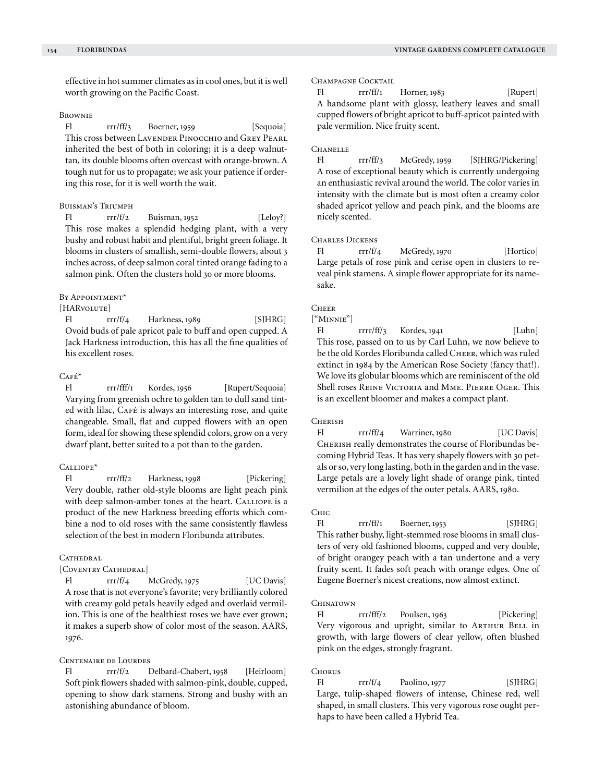effective in hot summer climates as in cool ones, but it is well worth growing on the Pacific Coast.

### **BROWNIE**

Fl rrr/ff/3 Boerner, 1959 [Sequoia] This cross between LAVENDER PINOCCHIO and GREY PEARL inherited the best of both in coloring; it is a deep walnuttan, its double blooms often overcast with orange-brown. A tough nut for us to propagate; we ask your patience if ordering this rose, for it is well worth the wait.

# Buisman's Triumph

Fl  $rrr/f/2$  Buisman, 1952 [Leloy?] This rose makes a splendid hedging plant, with a very bushy and robust habit and plentiful, bright green foliage. It blooms in clusters of smallish, semi-double flowers, about 3 inches across, of deep salmon coral tinted orange fading to a salmon pink. Often the clusters hold 30 or more blooms.

### BY APPOINTMENT\*

### [HARvolute]

Fl  $rrr/f/4$  Harkness, 1989 [SJHRG] Ovoid buds of pale apricot pale to buff and open cupped. A Jack Harkness introduction, this has all the fine qualities of his excellent roses.

# $CAFÉ*$

Fl rrr/fff/1 Kordes, 1956 [Rupert/Sequoia] Varying from greenish ochre to golden tan to dull sand tinted with lilac, CAFÉ is always an interesting rose, and quite changeable. Small, flat and cupped flowers with an open form, ideal for showing these splendid colors, grow on a very dwarf plant, better suited to a pot than to the garden.

# Calliope\*

Fl rrr/ff/2 Harkness, 1998 [Pickering] Very double, rather old-style blooms are light peach pink with deep salmon-amber tones at the heart. CALLIOPE is a product of the new Harkness breeding efforts which combine a nod to old roses with the same consistently flawless selection of the best in modern Floribunda attributes.

# **CATHEDRAL**

[COVENTRY CATHEDRAL]

Fl rrr/f/4 McGredy, 1975 [UC Davis] A rose that is not everyone's favorite; very brilliantly colored with creamy gold petals heavily edged and overlaid vermilion. This is one of the healthiest roses we have ever grown; it makes a superb show of color most of the season. AARS, 1976.

# Centenaire de Lourdes

Fl rrr/f/2 Delbard-Chabert, 1958 [Heirloom] Soft pink flowers shaded with salmon-pink, double, cupped, opening to show dark stamens. Strong and bushy with an astonishing abundance of bloom.

### CHAMPAGNE COCKTAIL

Fl rrr/ff/1 Horner, 1983 [Rupert] A handsome plant with glossy, leathery leaves and small cupped flowers of bright apricot to buff-apricot painted with pale vermilion. Nice fruity scent.

### **CHANELLE**

Fl rrr/ff/3 McGredy, 1959 [SJHRG/Pickering] A rose of exceptional beauty which is currently undergoing an enthusiastic revival around the world. The color varies in intensity with the climate but is most often a creamy color shaded apricot yellow and peach pink, and the blooms are nicely scented.

# CHARLES DICKENS

Fl  $rrr/f/4$  McGredy, 1970 [Hortico] Large petals of rose pink and cerise open in clusters to reveal pink stamens. A simple flower appropriate for its namesake.

# **CHEER**

["Minnie"]

Fl rrrr/ff/3 Kordes, 1941 [Luhn] This rose, passed on to us by Carl Luhn, we now believe to be the old Kordes Floribunda called Cheer, which was ruled extinct in 1984 by the American Rose Society (fancy that!). We love its globular blooms which are reminiscent of the old Shell roses REINE VICTORIA and MME. PIERRE OGER. This is an excellent bloomer and makes a compact plant.

# **CHERISH**

Fl rrr/ff/4 Warriner, 1980 [UC Davis] CHERISH really demonstrates the course of Floribundas becoming Hybrid Teas. It has very shapely flowers with 30 petals or so, very long lasting, both in the garden and in the vase. Large petals are a lovely light shade of orange pink, tinted vermilion at the edges of the outer petals. AARS, 1980.

### Chic

Fl rrr/ff/1 Boerner, 1953 [SJHRG] This rather bushy, light-stemmed rose blooms in small clusters of very old fashioned blooms, cupped and very double, of bright orangey peach with a tan undertone and a very fruity scent. It fades soft peach with orange edges. One of Eugene Boerner's nicest creations, now almost extinct.

### **CHINATOWN**

Fl rrr/fff/2 Poulsen, 1963 [Pickering] Very vigorous and upright, similar to ARTHUR BELL in growth, with large flowers of clear yellow, often blushed pink on the edges, strongly fragrant.

#### **CHORUS**

 $FI$   $rrr/f/4$  Paolino, 1977 [SJHRG] Large, tulip-shaped flowers of intense, Chinese red, well shaped, in small clusters. This very vigorous rose ought perhaps to have been called a Hybrid Tea.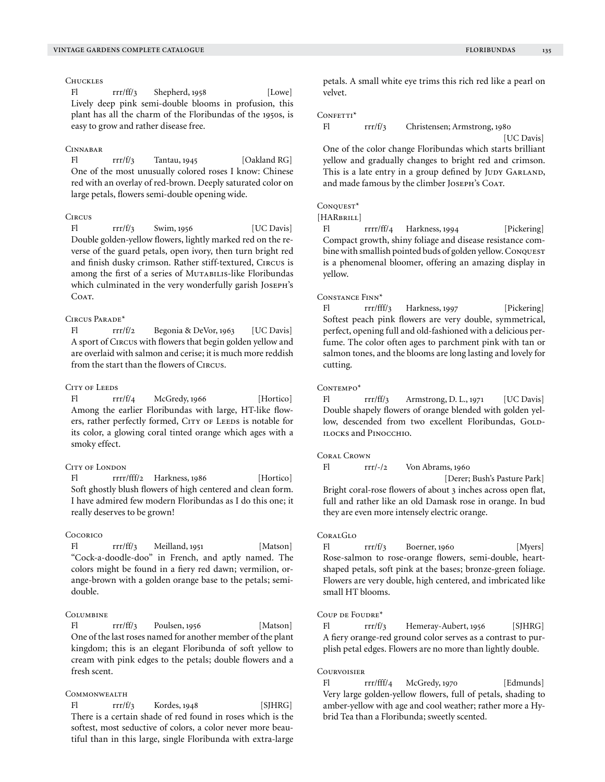# **CHUCKLES**

Fl rrr/ff/3 Shepherd, 1958 [Lowe] Lively deep pink semi-double blooms in profusion, this plant has all the charm of the Floribundas of the 1950s, is easy to grow and rather disease free.

#### Cinnabar

Fl  $rrr/f/3$  Tantau, 1945 [Oakland RG] One of the most unusually colored roses I know: Chinese red with an overlay of red-brown. Deeply saturated color on large petals, flowers semi-double opening wide.

### **CIRCUS**

Fl  $rrr/f/3$  Swim, 1956 [UC Davis] Double golden-yellow flowers, lightly marked red on the reverse of the guard petals, open ivory, then turn bright red and finish dusky crimson. Rather stiff-textured, Circus is among the first of a series of MUTABILIS-like Floribundas which culminated in the very wonderfully garish Joseph's COAT.

### $C$ IRCUS PARADE<sup>\*</sup>

Fl rrr/f/2 Begonia & DeVor, 1963 [UC Davis] A sport of Circus with flowers that begin golden yellow and are overlaid with salmon and cerise; it is much more reddish from the start than the flowers of Circus.

# CITY OF LEEDS

Fl  $rrf/4$  McGredy, 1966 [Hortico] Among the earlier Floribundas with large, HT-like flowers, rather perfectly formed, CITY OF LEEDS is notable for its color, a glowing coral tinted orange which ages with a smoky effect.

# CITY OF LONDON

Fl rrrr/fff/2 Harkness, 1986 [Hortico] Soft ghostly blush flowers of high centered and clean form. I have admired few modern Floribundas as I do this one; it really deserves to be grown!

### **Cocorico**

Fl rrr/ff/3 Meilland, 1951 [Matson] "Cock-a-doodle-doo" in French, and aptly named. The colors might be found in a fiery red dawn; vermilion, orange-brown with a golden orange base to the petals; semidouble.

#### **COLUMBINE**

Fl rrr/ff/3 Poulsen, 1956 [Matson] One of the last roses named for another member of the plant kingdom; this is an elegant Floribunda of soft yellow to cream with pink edges to the petals; double flowers and a fresh scent.

# **COMMONWEALTH**

 $FI$   $rr/f/3$  Kordes, 1948 [SJHRG] There is a certain shade of red found in roses which is the softest, most seductive of colors, a color never more beautiful than in this large, single Floribunda with extra-large petals. A small white eye trims this rich red like a pearl on velvet.

#### CONFETTI\*

Fl rrr/f/3 Christensen; Armstrong, 1980

[UC Davis] One of the color change Floribundas which starts brilliant yellow and gradually changes to bright red and crimson. This is a late entry in a group defined by JUDY GARLAND, and made famous by the climber Joseph's Coat.

#### Conquest\*

[HARBRILL]

Fl rrrr/ff/4 Harkness, 1994 [Pickering] Compact growth, shiny foliage and disease resistance combine with smallish pointed buds of golden yellow. Conquest is a phenomenal bloomer, offering an amazing display in yellow.

#### Constance Finn\*

Fl rrr/fff/3 Harkness, 1997 [Pickering] Softest peach pink flowers are very double, symmetrical, perfect, opening full and old-fashioned with a delicious perfume. The color often ages to parchment pink with tan or salmon tones, and the blooms are long lasting and lovely for cutting.

#### CONTEMPO\*

Fl rrr/ff/3 Armstrong, D. L., 1971 [UC Davis] Double shapely flowers of orange blended with golden yellow, descended from two excellent Floribundas, GOLDilocks and Pinocchio.

# Coral Crown

Fl rrr/-/2 Von Abrams, 1960

 [Derer; Bush's Pasture Park] Bright coral-rose flowers of about 3 inches across open flat, full and rather like an old Damask rose in orange. In bud they are even more intensely electric orange.

#### **CORALGLO**

Fl  $rrr/f/3$  Boerner, 1960 [Myers] Rose-salmon to rose-orange flowers, semi-double, heartshaped petals, soft pink at the bases; bronze-green foliage. Flowers are very double, high centered, and imbricated like small HT blooms.

#### Coup de Foudre\*

Fl rrr/f/3 Hemeray-Aubert, 1956 [SJHRG] A fiery orange-red ground color serves as a contrast to purplish petal edges. Flowers are no more than lightly double.

#### **COURVOISIER**

Fl rrr/fff/4 McGredy, 1970 [Edmunds] Very large golden-yellow flowers, full of petals, shading to amber-yellow with age and cool weather; rather more a Hybrid Tea than a Floribunda; sweetly scented.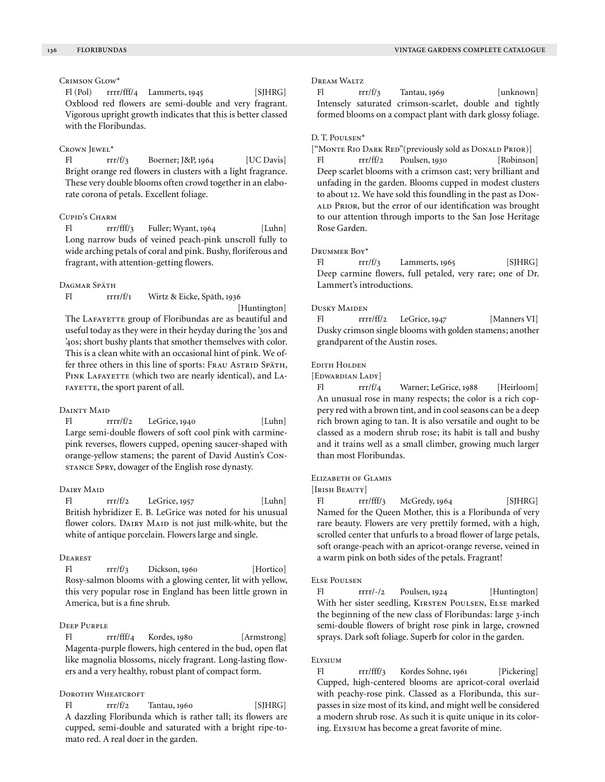# Crimson Glow\*

Fl (Pol) rrrr/fff/4 Lammerts, 1945 [SJHRG] Oxblood red flowers are semi-double and very fragrant. Vigorous upright growth indicates that this is better classed with the Floribundas.

### Crown Jewel\*

Fl rrr/f/3 Boerner; J&P, 1964 [UC Davis] Bright orange red flowers in clusters with a light fragrance. These very double blooms often crowd together in an elaborate corona of petals. Excellent foliage.

# Cupid's Charm

Fl rrr/fff/3 Fuller; Wyant, 1964 [Luhn] Long narrow buds of veined peach-pink unscroll fully to wide arching petals of coral and pink. Bushy, floriferous and fragrant, with attention-getting flowers.

#### DAGMAR SPÄTH

Fl rrrr/f/1 Wirtz & Eicke, Späth, 1936

[Huntington] The LAFAYETTE group of Floribundas are as beautiful and useful today as they were in their heyday during the '30s and '40s; short bushy plants that smother themselves with color. This is a clean white with an occasional hint of pink. We offer three others in this line of sports: FRAU ASTRID SPÄTH, PINK LAFAYETTE (which two are nearly identical), and LA-FAYETTE, the sport parent of all.

#### DAINTY MAID

Fl rrrr/f/2 LeGrice, 1940 [Luhn] Large semi-double flowers of soft cool pink with carminepink reverses, flowers cupped, opening saucer-shaped with orange-yellow stamens; the parent of David Austin's Constance Spry, dowager of the English rose dynasty.

#### DAIRY MAID

 $FI$   $rr/f/2$   $LeGrice, 1957$   $[Luhn]$ British hybridizer E. B. LeGrice was noted for his unusual flower colors. DAIRY MAID is not just milk-white, but the white of antique porcelain. Flowers large and single.

#### **DEAREST**

 $FI$   $rr/f/3$  Dickson, 1960 [Hortico] Rosy-salmon blooms with a glowing center, lit with yellow, this very popular rose in England has been little grown in America, but is a fine shrub.

# Deep Purple

Fl rrr/fff/4 Kordes, 1980 [Armstrong] Magenta-purple flowers, high centered in the bud, open flat like magnolia blossoms, nicely fragrant. Long-lasting flowers and a very healthy, robust plant of compact form.

### Dorothy Wheatcroft

 $F$   $rrr/f/2$  Tantau, 1960 [SIHRG] A dazzling Floribunda which is rather tall; its flowers are cupped, semi-double and saturated with a bright ripe-tomato red. A real doer in the garden.

### Dream Waltz

Fl  $rrr/f/3$  Tantau, 1969 [unknown] Intensely saturated crimson-scarlet, double and tightly formed blooms on a compact plant with dark glossy foliage.

#### D. T. Poulsen\*

["Monte Rio Dark Red"(previously sold as Donald Prior)]

Fl rrr/ff/2 Poulsen, 1930 [Robinson] Deep scarlet blooms with a crimson cast; very brilliant and unfading in the garden. Blooms cupped in modest clusters to about 12. We have sold this foundling in the past as Donald Prior, but the error of our identification was brought to our attention through imports to the San Jose Heritage Rose Garden.

### Drummer Boy\*

 $FI$   $rr/ff/3$  Lammerts, 1965 [SJHRG] Deep carmine flowers, full petaled, very rare; one of Dr. Lammert's introductions.

### Dusky Maiden

Fl rrrr/ff/2 LeGrice, 1947 [Manners VI] Dusky crimson single blooms with golden stamens; another grandparent of the Austin roses.

### Edith Holden

[EDWARDIAN LADY]

Fl rrr/f/4 Warner; LeGrice, 1988 [Heirloom] An unusual rose in many respects; the color is a rich coppery red with a brown tint, and in cool seasons can be a deep rich brown aging to tan. It is also versatile and ought to be classed as a modern shrub rose; its habit is tall and bushy and it trains well as a small climber, growing much larger than most Floribundas.

## Elizabeth of Glamis

[IRISH BEAUTY]

Fl rrr/fff/3 McGredy, 1964 [SJHRG] Named for the Queen Mother, this is a Floribunda of very rare beauty. Flowers are very prettily formed, with a high, scrolled center that unfurls to a broad flower of large petals, soft orange-peach with an apricot-orange reverse, veined in a warm pink on both sides of the petals. Fragrant!

#### Else Poulsen

Fl rrrr/-/2 Poulsen, 1924 [Huntington] With her sister seedling, KIRSTEN POULSEN, ELSE marked the beginning of the new class of Floribundas: large 3-inch semi-double flowers of bright rose pink in large, crowned sprays. Dark soft foliage. Superb for color in the garden.

### Elysium

Fl rrr/fff/3 Kordes Sohne, 1961 [Pickering] Cupped, high-centered blooms are apricot-coral overlaid with peachy-rose pink. Classed as a Floribunda, this surpasses in size most of its kind, and might well be considered a modern shrub rose. As such it is quite unique in its coloring. Elysium has become a great favorite of mine.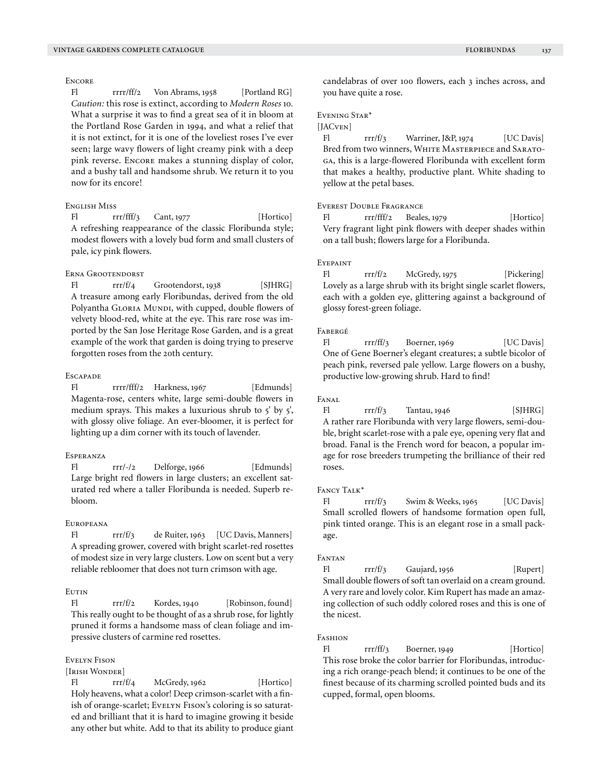# **ENCORE**

Fl rrrr/ff/2 Von Abrams, 1958 [Portland RG] *Caution:* this rose is extinct, according to *Modern Roses* 10*.* What a surprise it was to find a great sea of it in bloom at the Portland Rose Garden in 1994, and what a relief that it is not extinct, for it is one of the loveliest roses I've ever seen; large wavy flowers of light creamy pink with a deep pink reverse. ENCORE makes a stunning display of color, and a bushy tall and handsome shrub. We return it to you now for its encore!

# English Miss

Fl rrr/fff/3 Cant, 1977 [Hortico] A refreshing reappearance of the classic Floribunda style; modest flowers with a lovely bud form and small clusters of pale, icy pink flowers.

### Erna Grootendorst

Fl rrr/f/4 Grootendorst, 1938 [SJHRG] A treasure among early Floribundas, derived from the old Polyantha GLORIA MUNDI, with cupped, double flowers of velvety blood-red, white at the eye. This rare rose was imported by the San Jose Heritage Rose Garden, and is a great example of the work that garden is doing trying to preserve forgotten roses from the 20th century.

### **ESCAPADE**

Fl rrrr/fff/2 Harkness, 1967 [Edmunds] Magenta-rose, centers white, large semi-double flowers in medium sprays. This makes a luxurious shrub to 5' by 5', with glossy olive foliage. An ever-bloomer, it is perfect for lighting up a dim corner with its touch of lavender.

### Esperanza

Fl rrr/-/2 Delforge, 1966 [Edmunds] Large bright red flowers in large clusters; an excellent saturated red where a taller Floribunda is needed. Superb rebloom.

#### Europeana

Fl rrr/f/3 de Ruiter, 1963 [UC Davis, Manners] A spreading grower, covered with bright scarlet-red rosettes of modest size in very large clusters. Low on scent but a very reliable rebloomer that does not turn crimson with age.

### Eutin

Fl rrr/f/2 Kordes, 1940 [Robinson, found] This really ought to be thought of as a shrub rose, for lightly pruned it forms a handsome mass of clean foliage and impressive clusters of carmine red rosettes.

#### Evelyn Fison

#### [Irish Wonder]

 $rrr/f/4$  McGredy, 1962 [Hortico] Holy heavens, what a color! Deep crimson-scarlet with a finish of orange-scarlet; EVELYN FISON's coloring is so saturated and brilliant that it is hard to imagine growing it beside any other but white. Add to that its ability to produce giant candelabras of over 100 flowers, each 3 inches across, and you have quite a rose.

# Evening Star\*

# [JACven]

Fl  $rr/f/3$  Warriner, J&P, 1974 [UC Davis] Bred from two winners, WHITE MASTERPIECE and SARATOga, this is a large-flowered Floribunda with excellent form that makes a healthy, productive plant. White shading to yellow at the petal bases.

# Everest Double Fragrance

Fl rrr/fff/2 Beales, 1979 [Hortico] Very fragrant light pink flowers with deeper shades within on a tall bush; flowers large for a Floribunda.

### Eyepaint

Fl rrr/f/2 McGredy, 1975 [Pickering] Lovely as a large shrub with its bright single scarlet flowers, each with a golden eye, glittering against a background of glossy forest-green foliage.

#### Fabergé

Fl rrr/ff/3 Boerner, 1969 [UC Davis] One of Gene Boerner's elegant creatures; a subtle bicolor of peach pink, reversed pale yellow. Large flowers on a bushy, productive low-growing shrub. Hard to find!

#### Fanal

Fl  $rrr/f/3$  Tantau, 1946 [SJHRG] A rather rare Floribunda with very large flowers, semi-double, bright scarlet-rose with a pale eye, opening very flat and broad. Fanal is the French word for beacon, a popular image for rose breeders trumpeting the brilliance of their red roses.

# FANCY TALK<sup>\*</sup>

Fl  $rrr/f/3$  Swim & Weeks, 1965 [UC Davis] Small scrolled flowers of handsome formation open full, pink tinted orange. This is an elegant rose in a small package.

#### **FANTAN**

Fl rrr/f/3 Gaujard, 1956 [Rupert] Small double flowers of soft tan overlaid on a cream ground. A very rare and lovely color. Kim Rupert has made an amazing collection of such oddly colored roses and this is one of the nicest.

### FASHION

Fl rrr/ff/3 Boerner, 1949 [Hortico] This rose broke the color barrier for Floribundas, introducing a rich orange-peach blend; it continues to be one of the finest because of its charming scrolled pointed buds and its cupped, formal, open blooms.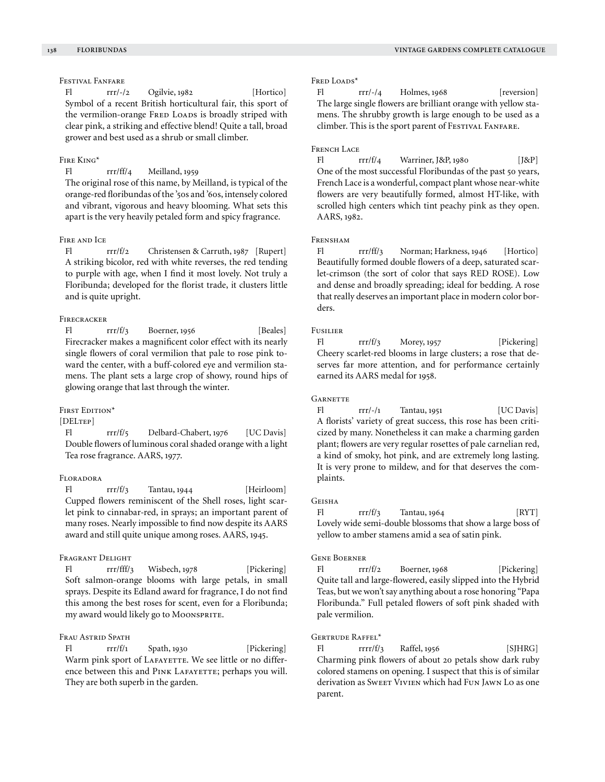Festival Fanfare

Fl rrr/-/2 Ogilvie, 1982 [Hortico] Symbol of a recent British horticultural fair, this sport of the vermilion-orange FRED LOADS is broadly striped with clear pink, a striking and effective blend! Quite a tall, broad grower and best used as a shrub or small climber.

# Fire King\*

Fl rrr/ff/4 Meilland, 1959

The original rose of this name, by Meilland, is typical of the orange-red floribundas of the '50s and '60s, intensely colored and vibrant, vigorous and heavy blooming. What sets this apart is the very heavily petaled form and spicy fragrance.

# Fire and Ice

Fl rrr/f/2 Christensen & Carruth, 1987 [Rupert] A striking bicolor, red with white reverses, the red tending to purple with age, when I find it most lovely. Not truly a Floribunda; developed for the florist trade, it clusters little and is quite upright.

# **FIRECRACKER**

Fl  $rrr/f/3$  Boerner, 1956 [Beales] Firecracker makes a magnificent color effect with its nearly single flowers of coral vermilion that pale to rose pink toward the center, with a buff-colored eye and vermilion stamens. The plant sets a large crop of showy, round hips of glowing orange that last through the winter.

### FIRST EDITION\*

[DELTEP]

Fl rrr/f/5 Delbard-Chabert, 1976 [UC Davis] Double flowers of luminous coral shaded orange with a light Tea rose fragrance. AARS, 1977.

### Floradora

Fl rrr/f/3 Tantau, 1944 [Heirloom] Cupped flowers reminiscent of the Shell roses, light scarlet pink to cinnabar-red, in sprays; an important parent of many roses. Nearly impossible to find now despite its AARS award and still quite unique among roses. AARS, 1945.

### Fragrant Delight

Fl rrr/fff/3 Wisbech, 1978 [Pickering] Soft salmon-orange blooms with large petals, in small sprays. Despite its Edland award for fragrance, I do not find this among the best roses for scent, even for a Floribunda; my award would likely go to Moonsprite.

# FRAU ASTRID SPATH

Fl rrr/f/1 Spath, 1930 [Pickering] Warm pink sport of LAFAYETTE. We see little or no difference between this and PINK LAFAYETTE; perhaps you will. They are both superb in the garden.

#### FRED LOADS\*

 $FI$   $rrr$ /-/4 Holmes, 1968 [reversion] The large single flowers are brilliant orange with yellow stamens. The shrubby growth is large enough to be used as a climber. This is the sport parent of Festival Fanfare.

### FRENCH LACE

Fl rrr/f/4 Warriner, J&P, 1980 [J&P] One of the most successful Floribundas of the past 50 years, French Lace is a wonderful, compact plant whose near-white flowers are very beautifully formed, almost HT-like, with scrolled high centers which tint peachy pink as they open. AARS, 1982.

### FRENSHAM

Fl rrr/ff/3 Norman; Harkness, 1946 [Hortico] Beautifully formed double flowers of a deep, saturated scarlet-crimson (the sort of color that says RED ROSE). Low and dense and broadly spreading; ideal for bedding. A rose that really deserves an important place in modern color borders.

### Fusilier

Fl  $rrr/f/3$  Morey, 1957 [Pickering] Cheery scarlet-red blooms in large clusters; a rose that deserves far more attention, and for performance certainly earned its AARS medal for 1958.

### **GARNETTE**

Fl rrr/-/1 Tantau, 1951 [UC Davis] A florists' variety of great success, this rose has been criticized by many. Nonetheless it can make a charming garden plant; flowers are very regular rosettes of pale carnelian red, a kind of smoky, hot pink, and are extremely long lasting. It is very prone to mildew, and for that deserves the complaints.

# **GEISHA**

Fl  $rrr/f/3$  Tantau, 1964 [RYT] Lovely wide semi-double blossoms that show a large boss of yellow to amber stamens amid a sea of satin pink.

#### Gene Boerner

Fl rrr/f/2 Boerner, 1968 [Pickering] Quite tall and large-flowered, easily slipped into the Hybrid Teas, but we won't say anything about a rose honoring "Papa Floribunda." Full petaled flowers of soft pink shaded with pale vermilion.

### Gertrude Raffel\*

 $FI$  rrrr/f/3 Raffel, 1956 [SJHRG] Charming pink flowers of about 20 petals show dark ruby colored stamens on opening. I suspect that this is of similar derivation as Sweet VIVIEN which had FUN JAWN Lo as one parent.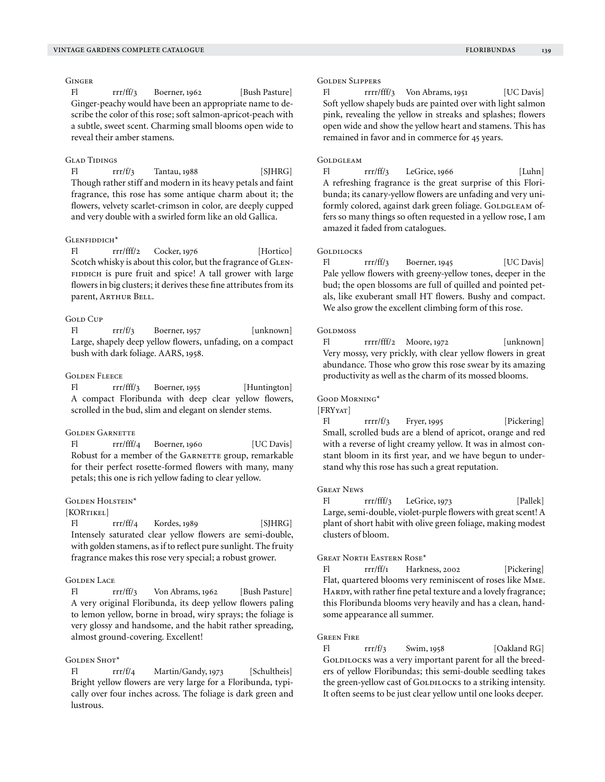# **GINGER**

Fl rrr/ff/3 Boerner, 1962 [Bush Pasture] Ginger-peachy would have been an appropriate name to describe the color of this rose; soft salmon-apricot-peach with a subtle, sweet scent. Charming small blooms open wide to reveal their amber stamens.

# GLAD TIDINGS

Fl  $rrr/f/3$  Tantau, 1988 [SJHRG] Though rather stiff and modern in its heavy petals and faint fragrance, this rose has some antique charm about it; the flowers, velvety scarlet-crimson in color, are deeply cupped and very double with a swirled form like an old Gallica.

# GLENFIDDICH<sup>\*</sup>

Fl rrr/fff/2 Cocker, 1976 [Hortico] Scotch whisky is about this color, but the fragrance of GLEN-FIDDICH is pure fruit and spice! A tall grower with large flowers in big clusters; it derives these fine attributes from its parent, ARTHUR BELL.

# **GOLD CUP**

Fl rrr/f/3 Boerner, 1957 [unknown] Large, shapely deep yellow flowers, unfading, on a compact bush with dark foliage. AARS, 1958.

### Golden Fleece

Fl rrr/fff/3 Boerner, 1955 [Huntington] A compact Floribunda with deep clear yellow flowers, scrolled in the bud, slim and elegant on slender stems.

### Golden Garnette

Fl rrr/fff/4 Boerner, 1960 [UC Davis] Robust for a member of the GARNETTE group, remarkable for their perfect rosette-formed flowers with many, many petals; this one is rich yellow fading to clear yellow.

### Golden Holstein\*

### [KORTIKEL]

Fl rrr/ff/4 Kordes, 1989 [SJHRG] Intensely saturated clear yellow flowers are semi-double, with golden stamens, as if to reflect pure sunlight. The fruity fragrance makes this rose very special; a robust grower.

### Golden Lace

Fl rrr/ff/3 Von Abrams, 1962 [Bush Pasture] A very original Floribunda, its deep yellow flowers paling to lemon yellow, borne in broad, wiry sprays; the foliage is very glossy and handsome, and the habit rather spreading, almost ground-covering. Excellent!

### GOLDEN SHOT\*

Fl rrr/f/4 Martin/Gandy, 1973 [Schultheis] Bright yellow flowers are very large for a Floribunda, typically over four inches across. The foliage is dark green and lustrous.

### Golden Slippers

Fl rrrr/fff/3 Von Abrams, 1951 [UC Davis] Soft yellow shapely buds are painted over with light salmon pink, revealing the yellow in streaks and splashes; flowers open wide and show the yellow heart and stamens. This has remained in favor and in commerce for 45 years.

### GOLDGLEAM

Fl rrr/ff/3 LeGrice, 1966 [Luhn] A refreshing fragrance is the great surprise of this Floribunda; its canary-yellow flowers are unfading and very uniformly colored, against dark green foliage. GOLDGLEAM offers so many things so often requested in a yellow rose, I am amazed it faded from catalogues.

### GOLDILOCKS

Fl rrr/ff/3 Boerner, 1945 [UC Davis] Pale yellow flowers with greeny-yellow tones, deeper in the bud; the open blossoms are full of quilled and pointed petals, like exuberant small HT flowers. Bushy and compact. We also grow the excellent climbing form of this rose.

#### **GOLDMOSS**

Fl rrrr/fff/2 Moore, 1972 [unknown] Very mossy, very prickly, with clear yellow flowers in great abundance. Those who grow this rose swear by its amazing productivity as well as the charm of its mossed blooms.

### Good Morning\*

# [FRYYAT]

Fl rrrr/f/3 Fryer, 1995 [Pickering] Small, scrolled buds are a blend of apricot, orange and red with a reverse of light creamy yellow. It was in almost constant bloom in its first year, and we have begun to understand why this rose has such a great reputation.

#### Great News

Fl rrr/fff/3 LeGrice, 1973 [Pallek] Large, semi-double, violet-purple flowers with great scent! A plant of short habit with olive green foliage, making modest clusters of bloom.

#### Great North Eastern Rose\*

Fl rrr/ff/1 Harkness, 2002 [Pickering] Flat, quartered blooms very reminiscent of roses like Mme. HARDY, with rather fine petal texture and a lovely fragrance; this Floribunda blooms very heavily and has a clean, handsome appearance all summer.

### Green Fire

Fl  $rrr/f/3$  Swim, 1958 [Oakland RG] GOLDILOCKS was a very important parent for all the breeders of yellow Floribundas; this semi-double seedling takes the green-yellow cast of GOLDILOCKS to a striking intensity. It often seems to be just clear yellow until one looks deeper.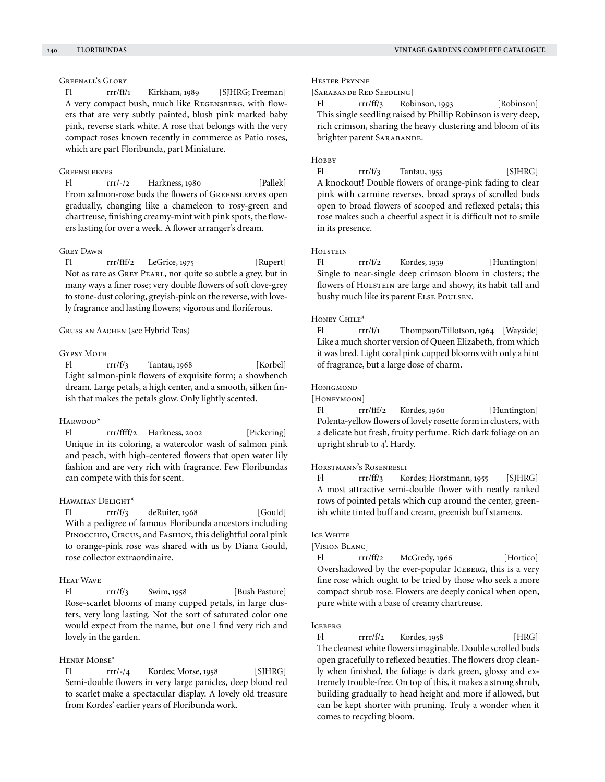# Greenall's Glory

Fl rrr/ff/1 Kirkham, 1989 [SJHRG; Freeman] A very compact bush, much like Regensberg, with flowers that are very subtly painted, blush pink marked baby pink, reverse stark white. A rose that belongs with the very compact roses known recently in commerce as Patio roses, which are part Floribunda, part Miniature.

### **GREENSLEEVES**

Fl rrr/-/2 Harkness, 1980 [Pallek] From salmon-rose buds the flowers of Greensleeves open gradually, changing like a chameleon to rosy-green and chartreuse, finishing creamy-mint with pink spots, the flowers lasting for over a week. A flower arranger's dream.

### Grey Dawn

Fl rrr/fff/2 LeGrice, 1975 [Rupert] Not as rare as GREY PEARL, nor quite so subtle a grey, but in many ways a finer rose; very double flowers of soft dove-grey to stone-dust coloring, greyish-pink on the reverse, with lovely fragrance and lasting flowers; vigorous and floriferous.

### Gruss an Aachen (see Hybrid Teas)

#### Gypsy Moth

Fl  $rrr/f/3$  Tantau, 1968 [Korbel] Light salmon-pink flowers of exquisite form; a showbench dream. Large petals, a high center, and a smooth, silken finish that makes the petals glow. Only lightly scented.

#### Harwood\*

Fl rrr/ffff/2 Harkness, 2002 [Pickering] Unique in its coloring, a watercolor wash of salmon pink and peach, with high-centered flowers that open water lily fashion and are very rich with fragrance. Few Floribundas can compete with this for scent.

### Hawaiian Delight\*

Fl  $rrr/f/3$  deRuiter, 1968 [Gould] With a pedigree of famous Floribunda ancestors including PINOCCHIO, CIRCUS, and FASHION, this delightful coral pink to orange-pink rose was shared with us by Diana Gould, rose collector extraordinaire.

### Heat Wave

Fl rrr/f/3 Swim, 1958 [Bush Pasture] Rose-scarlet blooms of many cupped petals, in large clusters, very long lasting. Not the sort of saturated color one would expect from the name, but one I find very rich and lovely in the garden.

# Henry Morse\*

Fl rrr/-/4 Kordes; Morse, 1958 [SJHRG] Semi-double flowers in very large panicles, deep blood red to scarlet make a spectacular display. A lovely old treasure from Kordes' earlier years of Floribunda work.

#### Hester Prynne

[Sarabande Red Seedling]

rrr/ff/3 Robinson, 1993 [Robinson] This single seedling raised by Phillip Robinson is very deep, rich crimson, sharing the heavy clustering and bloom of its brighter parent SARABANDE.

### HOBBY

Fl  $rrr/f/3$  Tantau, 1955 [SJHRG] A knockout! Double flowers of orange-pink fading to clear pink with carmine reverses, broad sprays of scrolled buds open to broad flowers of scooped and reflexed petals; this rose makes such a cheerful aspect it is difficult not to smile in its presence.

# **HOLSTEIN**

Fl rrr/f/2 Kordes, 1939 [Huntington] Single to near-single deep crimson bloom in clusters; the flowers of HOLSTEIN are large and showy, its habit tall and bushy much like its parent Else Poulsen.

### Honey Chile\*

Fl rrr/f/1 Thompson/Tillotson, 1964 [Wayside] Like a much shorter version of Queen Elizabeth, from which it was bred. Light coral pink cupped blooms with only a hint of fragrance, but a large dose of charm.

#### **HONIGMOND**

[HONEYMOON]

Fl rrr/fff/2 Kordes, 1960 [Huntington] Polenta-yellow flowers of lovely rosette form in clusters, with a delicate but fresh, fruity perfume. Rich dark foliage on an upright shrub to 4'. Hardy.

### Horstmann's Rosenresli

Fl rrr/ff/3 Kordes; Horstmann, 1955 [SJHRG] A most attractive semi-double flower with neatly ranked rows of pointed petals which cup around the center, greenish white tinted buff and cream, greenish buff stamens.

### **ICE WHITE**

### [Vision Blanc]

Fl rrr/ff/2 McGredy, 1966 [Hortico] Overshadowed by the ever-popular ICEBERG, this is a very fine rose which ought to be tried by those who seek a more compact shrub rose. Flowers are deeply conical when open, pure white with a base of creamy chartreuse.

### **ICEBERG**

Fl rrrr/f/2 Kordes, 1958 [HRG] The cleanest white flowers imaginable. Double scrolled buds open gracefully to reflexed beauties. The flowers drop cleanly when finished, the foliage is dark green, glossy and extremely trouble-free. On top of this, it makes a strong shrub, building gradually to head height and more if allowed, but can be kept shorter with pruning. Truly a wonder when it comes to recycling bloom.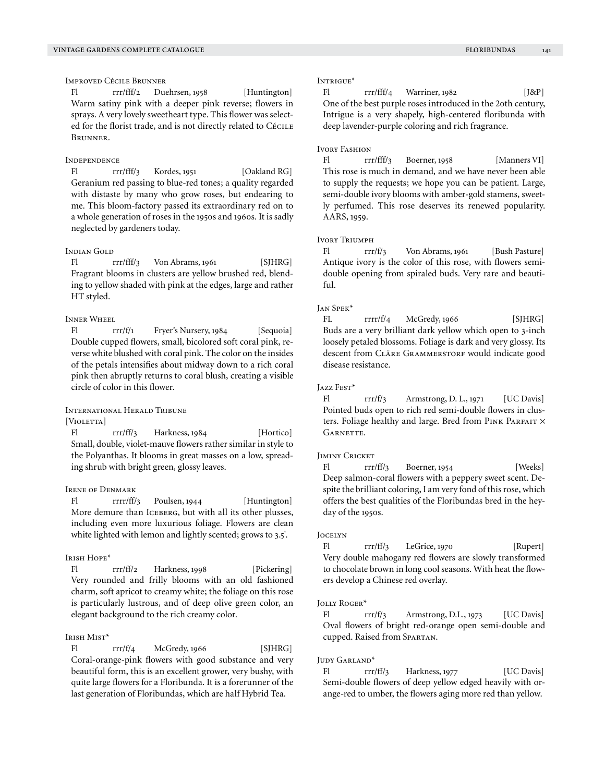Improved Cécile Brunner

Fl rrr/fff/2 Duehrsen, 1958 [Huntington] Warm satiny pink with a deeper pink reverse; flowers in sprays. A very lovely sweetheart type. This flower was selected for the florist trade, and is not directly related to Cécile Brunner.

### **INDEPENDENCE**

Fl rrr/fff/3 Kordes, 1951 [Oakland RG] Geranium red passing to blue-red tones; a quality regarded with distaste by many who grow roses, but endearing to me. This bloom-factory passed its extraordinary red on to a whole generation of roses in the 1950s and 1960s. It is sadly neglected by gardeners today.

# Indian Gold

Fl rrr/fff/3 Von Abrams, 1961 [SJHRG] Fragrant blooms in clusters are yellow brushed red, blending to yellow shaded with pink at the edges, large and rather HT styled.

# Inner Wheel

Fl rrr/f/1 Fryer's Nursery, 1984 [Sequoia] Double cupped flowers, small, bicolored soft coral pink, reverse white blushed with coral pink. The color on the insides of the petals intensifies about midway down to a rich coral pink then abruptly returns to coral blush, creating a visible circle of color in this flower.

# International Herald Tribune

[VIOLETTA]

Fl rrr/ff/3 Harkness, 1984 [Hortico] Small, double, violet-mauve flowers rather similar in style to the Polyanthas. It blooms in great masses on a low, spreading shrub with bright green, glossy leaves.

### IRENE OF DENMARK

Fl rrrr/ff/3 Poulsen, 1944 [Huntington] More demure than ICEBERG, but with all its other plusses, including even more luxurious foliage. Flowers are clean white lighted with lemon and lightly scented; grows to 3.5'.

### Irish Hope\*

Fl rrr/ff/2 Harkness, 1998 [Pickering] Very rounded and frilly blooms with an old fashioned charm, soft apricot to creamy white; the foliage on this rose is particularly lustrous, and of deep olive green color, an elegant background to the rich creamy color.

# Irish Mist\*

 $FI$  rrr/f/4 McGredy, 1966 [SJHRG] Coral-orange-pink flowers with good substance and very beautiful form, this is an excellent grower, very bushy, with quite large flowers for a Floribunda. It is a forerunner of the last generation of Floribundas, which are half Hybrid Tea.

### Intrigue\*

Fl  $rr/fff/4$  Warriner, 1982 [J&P] One of the best purple roses introduced in the 20th century, Intrigue is a very shapely, high-centered floribunda with deep lavender-purple coloring and rich fragrance.

#### Ivory Fashion

Fl rrr/fff/3 Boerner, 1958 [Manners VI] This rose is much in demand, and we have never been able to supply the requests; we hope you can be patient. Large, semi-double ivory blooms with amber-gold stamens, sweetly perfumed. This rose deserves its renewed popularity. AARS, 1959.

### Ivory Triumph

Fl rrr/f/3 Von Abrams, 1961 [Bush Pasture] Antique ivory is the color of this rose, with flowers semidouble opening from spiraled buds. Very rare and beautiful.

### Jan Spek\*

FL  $rrrr/f/4$  McGredy, 1966 [SJHRG] Buds are a very brilliant dark yellow which open to 3-inch loosely petaled blossoms. Foliage is dark and very glossy. Its descent from CLÄRE GRAMMERSTORF would indicate good disease resistance.

### Jazz Fest\*

Fl  $rrf/3$  Armstrong, D. L., 1971 [UC Davis] Pointed buds open to rich red semi-double flowers in clusters. Foliage healthy and large. Bred from PINK PARFAIT  $\times$ GARNETTE.

#### **JIMINY CRICKET**

Fl rrr/ff/3 Boerner, 1954 [Weeks] Deep salmon-coral flowers with a peppery sweet scent. Despite the brilliant coloring, I am very fond of this rose, which offers the best qualities of the Floribundas bred in the heyday of the 1950s.

### **JOCELYN**

Fl rrr/ff/3 LeGrice, 1970 [Rupert] Very double mahogany red flowers are slowly transformed to chocolate brown in long cool seasons. With heat the flowers develop a Chinese red overlay.

### Jolly Roger\*

Fl rrr/f/3 Armstrong, D.L., 1973 [UC Davis] Oval flowers of bright red-orange open semi-double and cupped. Raised from Spartan.

#### Judy Garland\*

Fl rrr/ff/3 Harkness, 1977 [UC Davis] Semi-double flowers of deep yellow edged heavily with orange-red to umber, the flowers aging more red than yellow.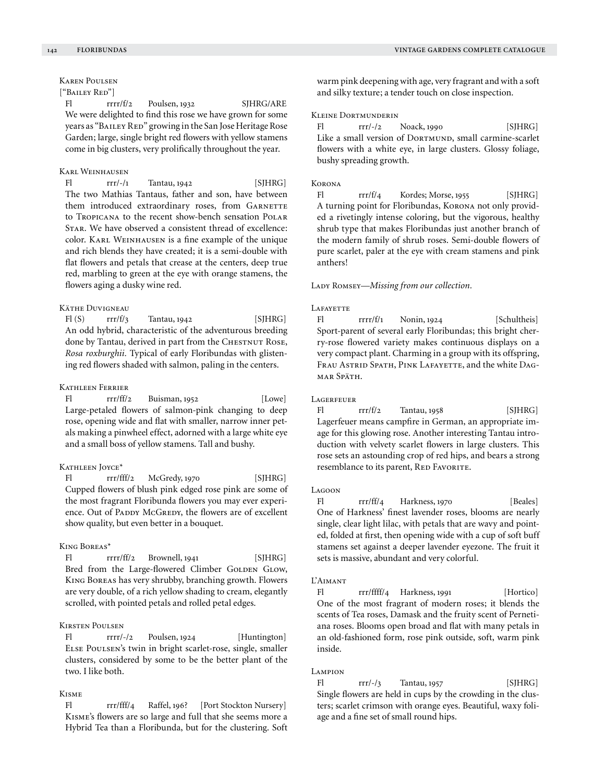# Karen Poulsen

### ["Bailey Red"]

Fl rrrr/f/2 Poulsen, 1932 SJHRG/ARE We were delighted to find this rose we have grown for some years as "BAILEY RED" growing in the San Jose Heritage Rose Garden; large, single bright red flowers with yellow stamens come in big clusters, very prolifically throughout the year.

### Karl Weinhausen

Fl rrr/-/1 Tantau, 1942 [SJHRG] The two Mathias Tantaus, father and son, have between them introduced extraordinary roses, from GARNETTE to Tropicana to the recent show-bench sensation Polar Star. We have observed a consistent thread of excellence: color. Karl Weinhausen is a fine example of the unique and rich blends they have created; it is a semi-double with flat flowers and petals that crease at the centers, deep true red, marbling to green at the eye with orange stamens, the flowers aging a dusky wine red.

# Käthe Duvigneau

 $F1(S)$  rrr/f/3 Tantau, 1942 [SJHRG] An odd hybrid, characteristic of the adventurous breeding done by Tantau, derived in part from the CHESTNUT ROSE, *Rosa roxburghii.* Typical of early Floribundas with glistening red flowers shaded with salmon, paling in the centers.

### Kathleen Ferrier

Fl  $rr/ff/2$  Buisman, 1952 [Lowe] Large-petaled flowers of salmon-pink changing to deep rose, opening wide and flat with smaller, narrow inner petals making a pinwheel effect, adorned with a large white eye and a small boss of yellow stamens. Tall and bushy.

### KATHLEEN JOYCE\*

Fl rrr/fff/2 McGredy, 1970 [SJHRG] Cupped flowers of blush pink edged rose pink are some of the most fragrant Floribunda flowers you may ever experience. Out of PADDY McGREDY, the flowers are of excellent show quality, but even better in a bouquet.

### King Boreas\*

Fl rrrr/ff/2 Brownell, 1941 [SJHRG] Bred from the Large-flowered Climber GOLDEN GLOW, King Boreas has very shrubby, branching growth. Flowers are very double, of a rich yellow shading to cream, elegantly scrolled, with pointed petals and rolled petal edges.

# Kirsten Poulsen

Fl rrrr/-/2 Poulsen, 1924 [Huntington] Else Poulsen's twin in bright scarlet-rose, single, smaller clusters, considered by some to be the better plant of the two. I like both.

# Kisme

Fl rrr/fff/4 Raffel, 196? [Port Stockton Nursery] Kisme's flowers are so large and full that she seems more a Hybrid Tea than a Floribunda, but for the clustering. Soft warm pink deepening with age, very fragrant and with a soft and silky texture; a tender touch on close inspection.

### Kleine Dortmunderin

Fl  $rrr/-/2$  Noack, 1990 [SJHRG] Like a small version of DORTMUND, small carmine-scarlet flowers with a white eye, in large clusters. Glossy foliage, bushy spreading growth.

### Korona

Fl  $rrr/f/4$  Kordes; Morse, 1955 [SJHRG] A turning point for Floribundas, Korona not only provided a rivetingly intense coloring, but the vigorous, healthy shrub type that makes Floribundas just another branch of the modern family of shrub roses. Semi-double flowers of pure scarlet, paler at the eye with cream stamens and pink anthers!

#### LADY ROMSEY-Missing from our collection.

#### **LAFAYETTE**

Fl rrrr/f/1 Nonin, 1924 [Schultheis] Sport-parent of several early Floribundas; this bright cherry-rose flowered variety makes continuous displays on a very compact plant. Charming in a group with its offspring, FRAU ASTRID SPATH, PINK LAFAYETTE, and the white DAGmar Späth.

#### **LAGERFEUER**

Fl  $rrr/f/2$  Tantau, 1958 [SJHRG] Lagerfeuer means campfire in German, an appropriate image for this glowing rose. Another interesting Tantau introduction with velvety scarlet flowers in large clusters. This rose sets an astounding crop of red hips, and bears a strong resemblance to its parent, RED FAVORITE.

#### Lagoon

Fl rrr/ff/4 Harkness, 1970 [Beales] One of Harkness' finest lavender roses, blooms are nearly single, clear light lilac, with petals that are wavy and pointed, folded at first, then opening wide with a cup of soft buff stamens set against a deeper lavender eyezone. The fruit it sets is massive, abundant and very colorful.

### L'Aimant

Fl rrr/ffff/4 Harkness, 1991 [Hortico] One of the most fragrant of modern roses; it blends the scents of Tea roses, Damask and the fruity scent of Pernetiana roses. Blooms open broad and flat with many petals in an old-fashioned form, rose pink outside, soft, warm pink inside.

#### Lampion

Fl  $rrr$ /-/3 Tantau, 1957 [SJHRG] Single flowers are held in cups by the crowding in the clusters; scarlet crimson with orange eyes. Beautiful, waxy foliage and a fine set of small round hips.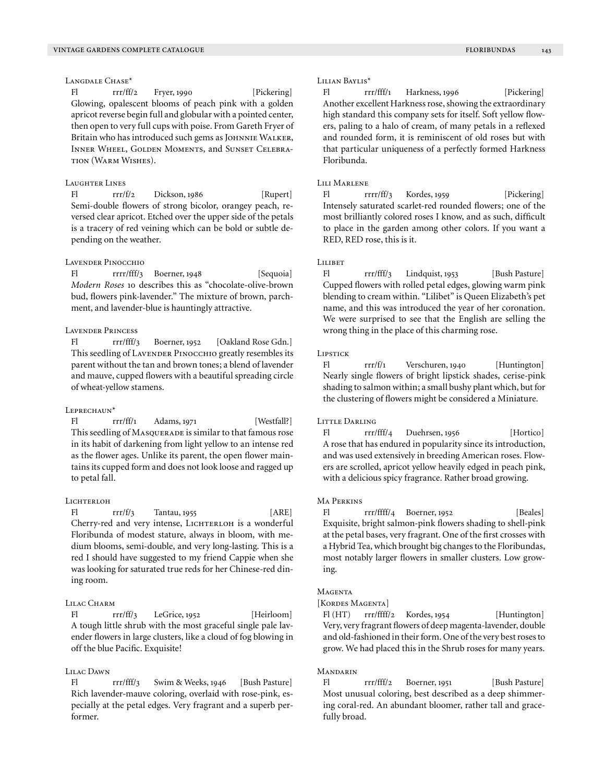# LANGDALE CHASE<sup>\*</sup>

Fl rrr/ff/2 Fryer, 1990 [Pickering] Glowing, opalescent blooms of peach pink with a golden apricot reverse begin full and globular with a pointed center, then open to very full cups with poise. From Gareth Fryer of Britain who has introduced such gems as JOHNNIE WALKER, Inner Wheel, Golden Moments, and Sunset Celebration (Warm Wishes).

### Laughter Lines

Fl rrr/f/2 Dickson, 1986 [Rupert] Semi-double flowers of strong bicolor, orangey peach, reversed clear apricot. Etched over the upper side of the petals is a tracery of red veining which can be bold or subtle depending on the weather.

# Lavender Pinocchio

Fl rrrr/fff/3 Boerner, 1948 [Sequoia] *Modern Roses* 10 describes this as "chocolate-olive-brown bud, flowers pink-lavender." The mixture of brown, parchment, and lavender-blue is hauntingly attractive.

### Lavender Princess

Fl rrr/fff/3 Boerner, 1952 [Oakland Rose Gdn.] This seedling of LAVENDER PINOCCHIO greatly resembles its parent without the tan and brown tones; a blend of lavender and mauve, cupped flowers with a beautiful spreading circle of wheat-yellow stamens.

#### LEPRECHAUN<sup>\*</sup>

Fl rrr/ff/1 Adams, 1971 [Westfall?] This seedling of MASQUERADE is similar to that famous rose in its habit of darkening from light yellow to an intense red as the flower ages. Unlike its parent, the open flower maintains its cupped form and does not look loose and ragged up to petal fall.

### LICHTERLOH

Fl  $rrr/f/3$  Tantau, 1955 [ARE] Cherry-red and very intense, LICHTERLOH is a wonderful Floribunda of modest stature, always in bloom, with medium blooms, semi-double, and very long-lasting. This is a red I should have suggested to my friend Cappie when she was looking for saturated true reds for her Chinese-red dining room.

# LILAC CHARM

Fl rrr/ff/3 LeGrice, 1952 [Heirloom] A tough little shrub with the most graceful single pale lavender flowers in large clusters, like a cloud of fog blowing in off the blue Pacific. Exquisite!

# Lilac Dawn

Fl rrr/fff/3 Swim & Weeks, 1946 [Bush Pasture] Rich lavender-mauve coloring, overlaid with rose-pink, especially at the petal edges. Very fragrant and a superb performer.

### Lilian Baylis\*

Fl rrr/fff/1 Harkness, 1996 [Pickering] Another excellent Harkness rose, showing the extraordinary high standard this company sets for itself. Soft yellow flowers, paling to a halo of cream, of many petals in a reflexed and rounded form, it is reminiscent of old roses but with that particular uniqueness of a perfectly formed Harkness Floribunda.

#### LILI MARLENE

Fl rrrr/ff/3 Kordes, 1959 [Pickering] Intensely saturated scarlet-red rounded flowers; one of the most brilliantly colored roses I know, and as such, difficult to place in the garden among other colors. If you want a RED, RED rose, this is it.

# Luret

Fl rrr/fff/3 Lindquist, 1953 [Bush Pasture] Cupped flowers with rolled petal edges, glowing warm pink blending to cream within. "Lilibet" is Queen Elizabeth's pet name, and this was introduced the year of her coronation. We were surprised to see that the English are selling the wrong thing in the place of this charming rose.

#### Lipstick

Fl rrr/f/1 Verschuren, 1940 [Huntington] Nearly single flowers of bright lipstick shades, cerise-pink shading to salmon within; a small bushy plant which, but for the clustering of flowers might be considered a Miniature.

### LITTLE DARLING

Fl rrr/fff/4 Duehrsen, 1956 [Hortico] A rose that has endured in popularity since its introduction, and was used extensively in breeding American roses. Flowers are scrolled, apricot yellow heavily edged in peach pink, with a delicious spicy fragrance. Rather broad growing.

# Ma Perkins

Fl rrr/ffff/4 Boerner, 1952 [Beales] Exquisite, bright salmon-pink flowers shading to shell-pink at the petal bases, very fragrant. One of the first crosses with a Hybrid Tea, which brought big changes to the Floribundas, most notably larger flowers in smaller clusters. Low growing.

# **MAGENTA**

# [KORDES MAGENTA]

Fl (HT) rrr/ffff/2 Kordes, 1954 [Huntington] Very, very fragrant flowers of deep magenta-lavender, double and old-fashioned in their form. One of the very best roses to grow. We had placed this in the Shrub roses for many years.

# **MANDARIN**

Fl rrr/fff/2 Boerner, 1951 [Bush Pasture] Most unusual coloring, best described as a deep shimmering coral-red. An abundant bloomer, rather tall and gracefully broad.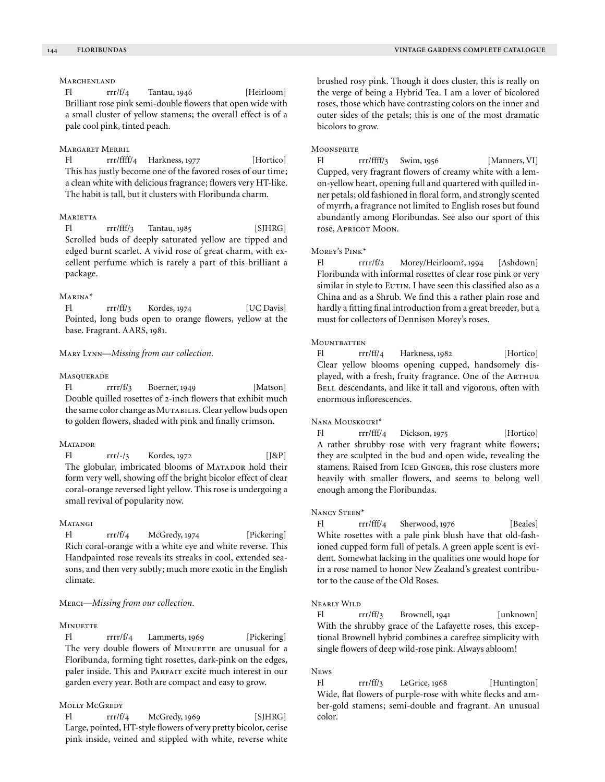# **MARCHENLAND**

Fl  $rr/f/4$  Tantau, 1946 [Heirloom] Brilliant rose pink semi-double flowers that open wide with a small cluster of yellow stamens; the overall effect is of a pale cool pink, tinted peach.

# Margaret Merril

Fl rrr/ffff/4 Harkness, 1977 [Hortico] This has justly become one of the favored roses of our time; a clean white with delicious fragrance; flowers very HT-like. The habit is tall, but it clusters with Floribunda charm.

# **MARIETTA**

Fl rrr/fff/3 Tantau, 1985 [SJHRG] Scrolled buds of deeply saturated yellow are tipped and edged burnt scarlet. A vivid rose of great charm, with excellent perfume which is rarely a part of this brilliant a package.

### Marina\*

Fl rrr/ff/3 Kordes, 1974 [UC Davis] Pointed, long buds open to orange flowers, yellow at the base. Fragrant. AARS, 1981.

### Mary Lynn—*Missing from our collection.*

### **MASQUERADE**

Fl rrrr/f/3 Boerner, 1949 [Matson] Double quilled rosettes of 2-inch flowers that exhibit much the same color change as MUTABILIS. Clear yellow buds open to golden flowers, shaded with pink and finally crimson.

#### **MATADOR**

Fl  $rrr/-/3$  Kordes, 1972 [J&P] The globular, imbricated blooms of MATADOR hold their form very well, showing off the bright bicolor effect of clear coral-orange reversed light yellow. This rose is undergoing a small revival of popularity now.

### **MATANGI**

Fl  $rr/f/4$  McGredy, 1974 [Pickering] Rich coral-orange with a white eye and white reverse. This Handpainted rose reveals its streaks in cool, extended seasons, and then very subtly; much more exotic in the English climate.

# Merci—*Missing from our collection.*

# **MINUETTE**

Fl rrrr/f/4 Lammerts, 1969 [Pickering] The very double flowers of MINUETTE are unusual for a Floribunda, forming tight rosettes, dark-pink on the edges, paler inside. This and PARFAIT excite much interest in our garden every year. Both are compact and easy to grow.

# MOLLY MCGREDY

Fl  $rrr/f/4$  McGredy, 1969 [SJHRG] Large, pointed, HT-style flowers of very pretty bicolor, cerise pink inside, veined and stippled with white, reverse white brushed rosy pink. Though it does cluster, this is really on the verge of being a Hybrid Tea. I am a lover of bicolored roses, those which have contrasting colors on the inner and outer sides of the petals; this is one of the most dramatic bicolors to grow.

#### **MOONSPRITE**

Fl rrr/ffff/3 Swim, 1956 [Manners, VI] Cupped, very fragrant flowers of creamy white with a lemon-yellow heart, opening full and quartered with quilled inner petals; old fashioned in floral form, and strongly scented of myrrh, a fragrance not limited to English roses but found abundantly among Floribundas. See also our sport of this rose, Apricot Moon.

### Morey's Pink\*

Fl rrrr/f/2 Morey/Heirloom?, 1994 [Ashdown] Floribunda with informal rosettes of clear rose pink or very similar in style to EUTIN. I have seen this classified also as a China and as a Shrub. We find this a rather plain rose and hardly a fitting final introduction from a great breeder, but a must for collectors of Dennison Morey's roses.

# **MOUNTBATTEN**

Fl rrr/ff/4 Harkness, 1982 [Hortico] Clear yellow blooms opening cupped, handsomely displayed, with a fresh, fruity fragrance. One of the ARTHUR BELL descendants, and like it tall and vigorous, often with enormous inflorescences.

# Nana Mouskouri\*

Fl rrr/fff/4 Dickson, 1975 [Hortico] A rather shrubby rose with very fragrant white flowers; they are sculpted in the bud and open wide, revealing the stamens. Raised from ICED GINGER, this rose clusters more heavily with smaller flowers, and seems to belong well enough among the Floribundas.

### Nancy Steen\*

Fl rrr/fff/4 Sherwood, 1976 [Beales] White rosettes with a pale pink blush have that old-fashioned cupped form full of petals. A green apple scent is evident. Somewhat lacking in the qualities one would hope for in a rose named to honor New Zealand's greatest contributor to the cause of the Old Roses.

# Nearly Wild

Fl rrr/ff/3 Brownell, 1941 [unknown] With the shrubby grace of the Lafayette roses, this exceptional Brownell hybrid combines a carefree simplicity with single flowers of deep wild-rose pink. Always abloom!

#### News

Fl rrr/ff/3 LeGrice, 1968 [Huntington] Wide, flat flowers of purple-rose with white flecks and amber-gold stamens; semi-double and fragrant. An unusual color.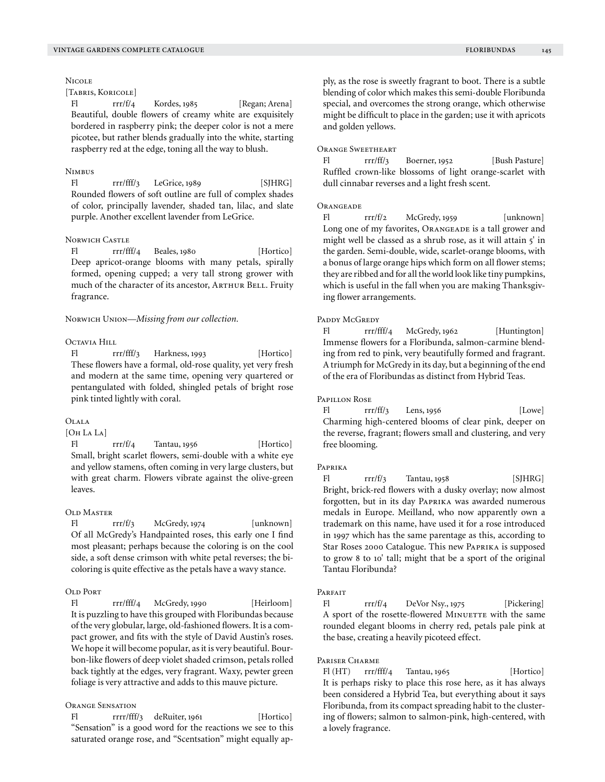# [TABRIS, KORICOLE]

Fl rrr/f/4 Kordes, 1985 [Regan; Arena] Beautiful, double flowers of creamy white are exquisitely bordered in raspberry pink; the deeper color is not a mere picotee, but rather blends gradually into the white, starting raspberry red at the edge, toning all the way to blush.

### **NIMBUS**

**NICOLE** 

Fl rrr/fff/3 LeGrice, 1989 [SJHRG] Rounded flowers of soft outline are full of complex shades of color, principally lavender, shaded tan, lilac, and slate purple. Another excellent lavender from LeGrice.

# Norwich Castle

Fl rrr/fff/4 Beales, 1980 [Hortico] Deep apricot-orange blooms with many petals, spirally formed, opening cupped; a very tall strong grower with much of the character of its ancestor, ARTHUR BELL. Fruity fragrance.

Norwich Union—*Missing from our collection.* 

# Octavia Hill

Fl rrr/fff/3 Harkness, 1993 [Hortico] These flowers have a formal, old-rose quality, yet very fresh and modern at the same time, opening very quartered or pentangulated with folded, shingled petals of bright rose pink tinted lightly with coral.

### $O$ LALA

[Oh La La]

Fl rrr/f/4 Tantau, 1956 [Hortico] Small, bright scarlet flowers, semi-double with a white eye and yellow stamens, often coming in very large clusters, but with great charm. Flowers vibrate against the olive-green leaves.

### OLD MASTER

Fl  $rr/f/3$  McGredy, 1974 [unknown] Of all McGredy's Handpainted roses, this early one I find most pleasant; perhaps because the coloring is on the cool side, a soft dense crimson with white petal reverses; the bicoloring is quite effective as the petals have a wavy stance.

# Old Port

Fl rrr/fff/4 McGredy, 1990 [Heirloom] It is puzzling to have this grouped with Floribundas because of the very globular, large, old-fashioned flowers. It is a compact grower, and fits with the style of David Austin's roses. We hope it will become popular, as it is very beautiful. Bourbon-like flowers of deep violet shaded crimson, petals rolled back tightly at the edges, very fragrant. Waxy, pewter green foliage is very attractive and adds to this mauve picture.

### Orange Sensation

Fl rrrr/fff/3 deRuiter, 1961 [Hortico] "Sensation" is a good word for the reactions we see to this saturated orange rose, and "Scentsation" might equally apply, as the rose is sweetly fragrant to boot. There is a subtle blending of color which makes this semi-double Floribunda special, and overcomes the strong orange, which otherwise might be difficult to place in the garden; use it with apricots and golden yellows.

### Orange Sweetheart

Fl rrr/ff/3 Boerner, 1952 [Bush Pasture] Ruffled crown-like blossoms of light orange-scarlet with dull cinnabar reverses and a light fresh scent.

### **ORANGEADE**

Fl  $rrr/f/2$  McGredy, 1959 [unknown] Long one of my favorites, ORANGEADE is a tall grower and might well be classed as a shrub rose, as it will attain 5' in the garden. Semi-double, wide, scarlet-orange blooms, with a bonus of large orange hips which form on all flower stems; they are ribbed and for all the world look like tiny pumpkins, which is useful in the fall when you are making Thanksgiving flower arrangements.

# PADDY McGREDY

Fl rrr/fff/4 McGredy, 1962 [Huntington] Immense flowers for a Floribunda, salmon-carmine blending from red to pink, very beautifully formed and fragrant. A triumph for McGredy in its day, but a beginning of the end of the era of Floribundas as distinct from Hybrid Teas.

### Papillon Rose

Fl rrr/ff/3 Lens, 1956 [Lowe] Charming high-centered blooms of clear pink, deeper on the reverse, fragrant; flowers small and clustering, and very free blooming.

### Paprika

Fl  $rrr/f/3$  Tantau, 1958 [SJHRG] Bright, brick-red flowers with a dusky overlay; now almost forgotten, but in its day Paprika was awarded numerous medals in Europe. Meilland, who now apparently own a trademark on this name, have used it for a rose introduced in 1997 which has the same parentage as this, according to Star Roses 2000 Catalogue. This new Paprika is supposed to grow 8 to 10' tall; might that be a sport of the original Tantau Floribunda?

# PARFAIT

Fl  $rrf/4$  DeVor Nsy., 1975 [Pickering] A sport of the rosette-flowered MINUETTE with the same rounded elegant blooms in cherry red, petals pale pink at the base, creating a heavily picoteed effect.

### PARISER CHARME

Fl  $(HT)$  rrr/fff/4 Tantau, 1965 [Hortico] It is perhaps risky to place this rose here, as it has always been considered a Hybrid Tea, but everything about it says Floribunda, from its compact spreading habit to the clustering of flowers; salmon to salmon-pink, high-centered, with a lovely fragrance.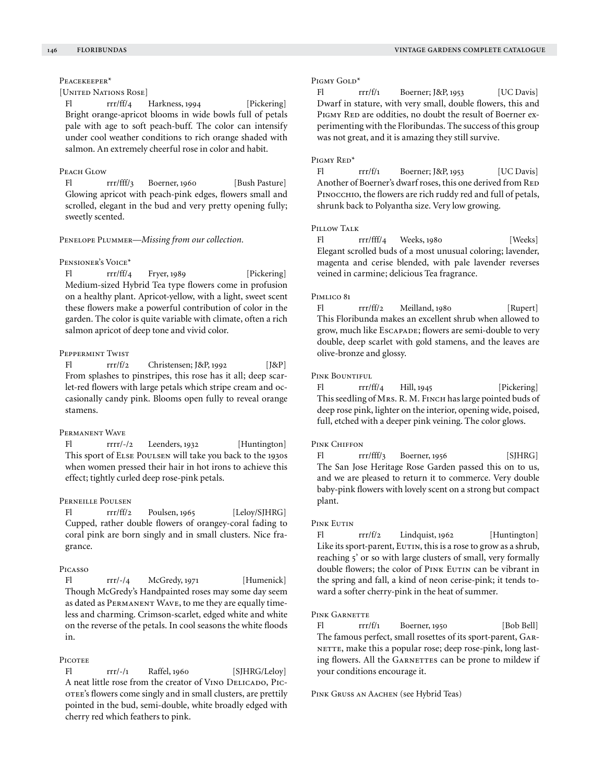# Peacekeeper<sup>\*</sup>

### [United Nations Rose]

Fl rrr/ff/4 Harkness, 1994 [Pickering] Bright orange-apricot blooms in wide bowls full of petals pale with age to soft peach-buff. The color can intensify under cool weather conditions to rich orange shaded with salmon. An extremely cheerful rose in color and habit.

### PEACH GLOW

Fl rrr/fff/3 Boerner, 1960 [Bush Pasture] Glowing apricot with peach-pink edges, flowers small and scrolled, elegant in the bud and very pretty opening fully; sweetly scented.

### Penelope Plummer—*Missing from our collection.*

### Pensioner's Voice\*

Fl rrr/ff/4 Fryer, 1989 [Pickering] Medium-sized Hybrid Tea type flowers come in profusion on a healthy plant. Apricot-yellow, with a light, sweet scent these flowers make a powerful contribution of color in the garden. The color is quite variable with climate, often a rich salmon apricot of deep tone and vivid color.

### Peppermint Twist

Fl  $rrr/f/2$  Christensen; J&P, 1992 [J&P] From splashes to pinstripes, this rose has it all; deep scarlet-red flowers with large petals which stripe cream and occasionally candy pink. Blooms open fully to reveal orange stamens.

#### Permanent Wave

Fl rrrr/-/2 Leenders, 1932 [Huntington] This sport of Else Poulsen will take you back to the 1930s when women pressed their hair in hot irons to achieve this effect; tightly curled deep rose-pink petals.

# Perneille Poulsen

Fl  $rrr/ff/2$  Poulsen, 1965 [Leloy/SJHRG] Cupped, rather double flowers of orangey-coral fading to coral pink are born singly and in small clusters. Nice fragrance.

### Picasso

Fl rrr/-/4 McGredy, 1971 [Humenick] Though McGredy's Handpainted roses may some day seem as dated as PERMANENT WAVE, to me they are equally timeless and charming. Crimson-scarlet, edged white and white on the reverse of the petals. In cool seasons the white floods in.

# **PICOTEE**

Fl rrr/-/1 Raffel, 1960 [SJHRG/Leloy] A neat little rose from the creator of VINO DELICADO, PICotee's flowers come singly and in small clusters, are prettily pointed in the bud, semi-double, white broadly edged with cherry red which feathers to pink.

### PIGMY GOLD<sup>\*</sup>

Fl  $rrr/f/1$  Boerner; J&P, 1953 [UC Davis] Dwarf in stature, with very small, double flowers, this and PIGMY RED are oddities, no doubt the result of Boerner experimenting with the Floribundas. The success of this group was not great, and it is amazing they still survive.

### PIGMY RED<sup>\*</sup>

Fl  $rrr/f/1$  Boerner; J&P, 1953 [UC Davis] Another of Boerner's dwarf roses, this one derived from RED PINOCCHIO, the flowers are rich ruddy red and full of petals, shrunk back to Polyantha size. Very low growing.

#### PILLOW TALK

Fl rrr/fff/4 Weeks, 1980 [Weeks] Elegant scrolled buds of a most unusual coloring; lavender, magenta and cerise blended, with pale lavender reverses veined in carmine; delicious Tea fragrance.

### PIMLICO 81

Fl rrr/ff/2 Meilland, 1980 [Rupert] This Floribunda makes an excellent shrub when allowed to grow, much like Escapade; flowers are semi-double to very double, deep scarlet with gold stamens, and the leaves are olive-bronze and glossy.

### PINK BOUNTIFUL

Fl  $rr/ff/4$  Hill, 1945 [Pickering] This seedling of Mrs. R. M. Finch has large pointed buds of deep rose pink, lighter on the interior, opening wide, poised, full, etched with a deeper pink veining. The color glows.

### PINK CHIFFON

Fl rrr/fff/3 Boerner, 1956 [SJHRG] The San Jose Heritage Rose Garden passed this on to us, and we are pleased to return it to commerce. Very double baby-pink flowers with lovely scent on a strong but compact plant.

#### Pink Eutin

Fl  $rrr/f/2$  Lindquist, 1962 [Huntington] Like its sport-parent, EUTIN, this is a rose to grow as a shrub, reaching 5' or so with large clusters of small, very formally double flowers; the color of PINK EUTIN can be vibrant in the spring and fall, a kind of neon cerise-pink; it tends toward a softer cherry-pink in the heat of summer.

### PINK GARNETTE

Fl  $rrr/f/1$  Boerner, 1950 [Bob Bell] The famous perfect, small rosettes of its sport-parent, Gar-NETTE, make this a popular rose; deep rose-pink, long lasting flowers. All the GARNETTES can be prone to mildew if your conditions encourage it.

#### Pink Gruss an Aachen (see Hybrid Teas)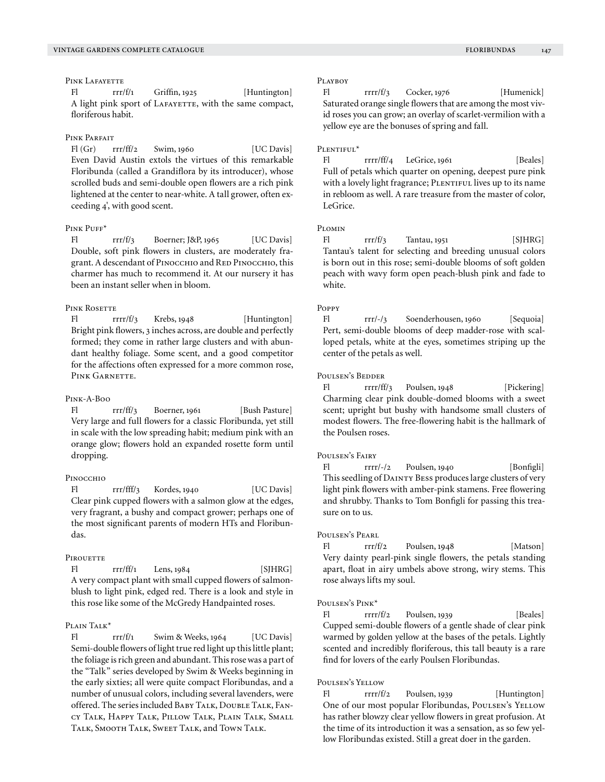# PINK LAFAYETTE

Fl rrr/f/1 Griffin, 1925 [Huntington] A light pink sport of LAFAYETTE, with the same compact, floriferous habit.

### PINK PARFAIT

 $F1(Gr)$  rrr/ff/2 Swim, 1960 [UC Davis] Even David Austin extols the virtues of this remarkable Floribunda (called a Grandiflora by its introducer), whose scrolled buds and semi-double open flowers are a rich pink lightened at the center to near-white. A tall grower, often exceeding 4', with good scent.

### PINK PHEF<sup>\*</sup>

Fl  $rrr/f/3$  Boerner; J&P, 1965 [UC Davis] Double, soft pink flowers in clusters, are moderately fragrant. A descendant of PINOCCHIO and RED PINOCCHIO, this charmer has much to recommend it. At our nursery it has been an instant seller when in bloom.

# PINK ROSETTE

Fl rrrr/f/3 Krebs, 1948 [Huntington] Bright pink flowers, 3 inches across, are double and perfectly formed; they come in rather large clusters and with abundant healthy foliage. Some scent, and a good competitor for the affections often expressed for a more common rose, PINK GARNETTE.

#### Pink-A-Boo

Fl rrr/ff/3 Boerner, 1961 [Bush Pasture] Very large and full flowers for a classic Floribunda, yet still in scale with the low spreading habit; medium pink with an orange glow; flowers hold an expanded rosette form until dropping.

### Pinocchio

Fl rrr/fff/3 Kordes, 1940 [UC Davis] Clear pink cupped flowers with a salmon glow at the edges, very fragrant, a bushy and compact grower; perhaps one of the most significant parents of modern HTs and Floribundas.

### PIROUETTE

 $FI$   $rr/ff/1$   $Lens, 1984$   $[SIHRG]$ A very compact plant with small cupped flowers of salmonblush to light pink, edged red. There is a look and style in this rose like some of the McGredy Handpainted roses.

# Plain Talk<sup>\*</sup>

Fl  $rr/f/1$  Swim & Weeks, 1964 [UC Davis] Semi-double flowers of light true red light up this little plant; the foliage is rich green and abundant. This rose was a part of the "Talk" series developed by Swim & Weeks beginning in the early sixties; all were quite compact Floribundas, and a number of unusual colors, including several lavenders, were offered. The series included Baby Talk, Double Talk, Fancy Talk, Happy Talk, Pillow Talk, Plain Talk, Small Talk, Smooth Talk, Sweet Talk, and Town Talk.

### PLAYBOY

Fl rrrr/f/3 Cocker, 1976 [Humenick] Saturated orange single flowers that are among the most vivid roses you can grow; an overlay of scarlet-vermilion with a yellow eye are the bonuses of spring and fall.

### PLENTIFUL<sup>\*</sup>

 $F1$  rrrr/ff/4 LeGrice, 1961 [Beales] Full of petals which quarter on opening, deepest pure pink with a lovely light fragrance; PLENTIFUL lives up to its name in rebloom as well. A rare treasure from the master of color, LeGrice.

# $P_{IOMIN}$

 $FI$  rrr/f/3 Tantau, 1951 [SJHRG] Tantau's talent for selecting and breeding unusual colors is born out in this rose; semi-double blooms of soft golden peach with wavy form open peach-blush pink and fade to white.

### Poppy

Fl rrr/-/3 Soenderhousen, 1960 [Sequoia] Pert, semi-double blooms of deep madder-rose with scalloped petals, white at the eyes, sometimes striping up the center of the petals as well.

### Poulsen's Bedder

Fl rrrr/ff/3 Poulsen, 1948 [Pickering] Charming clear pink double-domed blooms with a sweet scent; upright but bushy with handsome small clusters of modest flowers. The free-flowering habit is the hallmark of the Poulsen roses.

# Poulsen's Fairy

Fl rrrr/-/2 Poulsen, 1940 [Bonfigli] This seedling of Dainty Bess produces large clusters of very light pink flowers with amber-pink stamens. Free flowering and shrubby. Thanks to Tom Bonfigli for passing this treasure on to us.

# Poulsen's Pearl

Fl  $rrr/f/2$  Poulsen, 1948 [Matson] Very dainty pearl-pink single flowers, the petals standing apart, float in airy umbels above strong, wiry stems. This rose always lifts my soul.

### POULSEN'S PINK\*

Fl rrrr/f/2 Poulsen, 1939 [Beales] Cupped semi-double flowers of a gentle shade of clear pink warmed by golden yellow at the bases of the petals. Lightly scented and incredibly floriferous, this tall beauty is a rare find for lovers of the early Poulsen Floribundas.

### Poulsen's Yellow

Fl rrrr/f/2 Poulsen, 1939 [Huntington] One of our most popular Floribundas, Poulsen's YELLOW has rather blowzy clear yellow flowers in great profusion. At the time of its introduction it was a sensation, as so few yellow Floribundas existed. Still a great doer in the garden.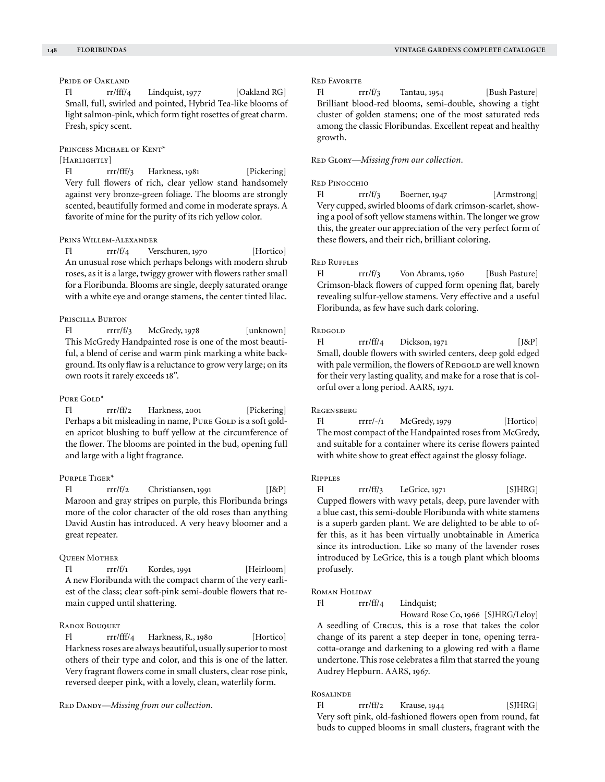# PRIDE OF OAKLAND

Fl  $rr/fft/4$  Lindquist, 1977 [Oakland RG] Small, full, swirled and pointed, Hybrid Tea-like blooms of light salmon-pink, which form tight rosettes of great charm. Fresh, spicy scent.

### PRINCESS MICHAEL OF KENT\*

# [HARLIGHTLY]

Fl rrr/fff/3 Harkness, 1981 [Pickering] Very full flowers of rich, clear yellow stand handsomely against very bronze-green foliage. The blooms are strongly scented, beautifully formed and come in moderate sprays. A favorite of mine for the purity of its rich yellow color.

# Prins Willem-Alexander

Fl rrr/f/4 Verschuren, 1970 [Hortico] An unusual rose which perhaps belongs with modern shrub roses, as it is a large, twiggy grower with flowers rather small for a Floribunda. Blooms are single, deeply saturated orange with a white eye and orange stamens, the center tinted lilac.

# Priscilla Burton

Fl  $rrrr/f/3$  McGredy, 1978 [unknown] This McGredy Handpainted rose is one of the most beautiful, a blend of cerise and warm pink marking a white background. Its only flaw is a reluctance to grow very large; on its own roots it rarely exceeds 18".

#### PURE GOLD<sup>\*</sup>

Fl rrr/ff/2 Harkness, 2001 [Pickering] Perhaps a bit misleading in name, PURE GOLD is a soft golden apricot blushing to buff yellow at the circumference of the flower. The blooms are pointed in the bud, opening full and large with a light fragrance.

### Purple Tiger\*

Fl rrr/f/2 Christiansen, 1991 [J&P] Maroon and gray stripes on purple, this Floribunda brings more of the color character of the old roses than anything David Austin has introduced. A very heavy bloomer and a great repeater.

### Queen Mother

 $F1$   $rr/f1$  Kordes, 1991 [Heirloom] A new Floribunda with the compact charm of the very earliest of the class; clear soft-pink semi-double flowers that remain cupped until shattering.

# RADOX BOUQUET

Fl rrr/fff/4 Harkness, R., 1980 [Hortico] Harkness roses are always beautiful, usually superior to most others of their type and color, and this is one of the latter. Very fragrant flowers come in small clusters, clear rose pink, reversed deeper pink, with a lovely, clean, waterlily form.

RED DANDY—*Missing from our collection*.

### Red Favorite

Fl  $rr/f/3$  Tantau, 1954 [Bush Pasture] Brilliant blood-red blooms, semi-double, showing a tight cluster of golden stamens; one of the most saturated reds among the classic Floribundas. Excellent repeat and healthy growth.

#### RED GLORY-Missing from our collection.

### Red Pinocchio

Fl rrr/f/3 Boerner, 1947 [Armstrong] Very cupped, swirled blooms of dark crimson-scarlet, showing a pool of soft yellow stamens within. The longer we grow this, the greater our appreciation of the very perfect form of these flowers, and their rich, brilliant coloring.

# Red Ruffles

Fl rrr/f/3 Von Abrams, 1960 [Bush Pasture] Crimson-black flowers of cupped form opening flat, barely revealing sulfur-yellow stamens. Very effective and a useful Floribunda, as few have such dark coloring.

### **REDGOLD**

Fl  $rrr/ff/4$  Dickson, 1971 [J&P] Small, double flowers with swirled centers, deep gold edged with pale vermilion, the flowers of REDGOLD are well known for their very lasting quality, and make for a rose that is colorful over a long period. AARS, 1971.

#### Regensberg

Fl rrrr/-/1 McGredy, 1979 [Hortico] The most compact of the Handpainted roses from McGredy, and suitable for a container where its cerise flowers painted with white show to great effect against the glossy foliage.

#### Ripples

Fl rrr/ff/3 LeGrice, 1971 [SJHRG] Cupped flowers with wavy petals, deep, pure lavender with a blue cast, this semi-double Floribunda with white stamens is a superb garden plant. We are delighted to be able to offer this, as it has been virtually unobtainable in America since its introduction. Like so many of the lavender roses introduced by LeGrice, this is a tough plant which blooms profusely.

# Roman Holiday

Fl rrr/ff/4 Lindquist;

 Howard Rose Co, 1966 [SJHRG/Leloy] A seedling of Circus, this is a rose that takes the color change of its parent a step deeper in tone, opening terracotta-orange and darkening to a glowing red with a flame undertone. This rose celebrates a film that starred the young Audrey Hepburn. AARS, 1967.

# Rosalinde

Fl rrr/ff/2 Krause, 1944 [SJHRG] Very soft pink, old-fashioned flowers open from round, fat buds to cupped blooms in small clusters, fragrant with the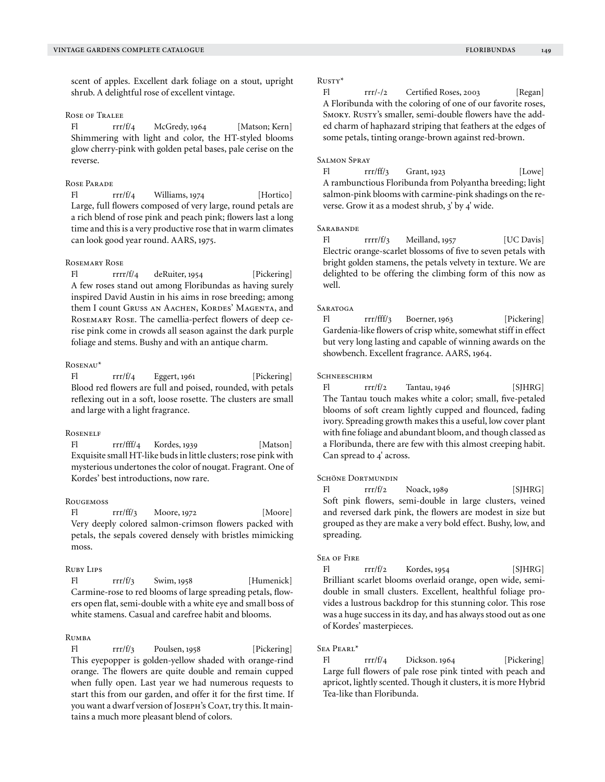scent of apples. Excellent dark foliage on a stout, upright shrub. A delightful rose of excellent vintage.

# Rose of Tralee

Fl  $rr/f/4$  McGredy, 1964 [Matson; Kern] Shimmering with light and color, the HT-styled blooms glow cherry-pink with golden petal bases, pale cerise on the reverse.

# Rose Parade

Fl rrr/f/4 Williams, 1974 [Hortico] Large, full flowers composed of very large, round petals are a rich blend of rose pink and peach pink; flowers last a long time and this is a very productive rose that in warm climates can look good year round. AARS, 1975.

#### Rosemary Rose

Fl rrrr/f/4 deRuiter, 1954 [Pickering] A few roses stand out among Floribundas as having surely inspired David Austin in his aims in rose breeding; among them I count Gruss AN AACHEN, KORDES' MAGENTA, and Rosemary Rose. The camellia-perfect flowers of deep cerise pink come in crowds all season against the dark purple foliage and stems. Bushy and with an antique charm.

#### Rosenau\*

Fl rrr/f/4 Eggert, 1961 [Pickering] Blood red flowers are full and poised, rounded, with petals reflexing out in a soft, loose rosette. The clusters are small and large with a light fragrance.

# **ROSENELF**

Fl rrr/fff/4 Kordes, 1939 [Matson] Exquisite small HT-like buds in little clusters; rose pink with mysterious undertones the color of nougat. Fragrant. One of Kordes' best introductions, now rare.

### **ROUGEMOSS**

Fl rrr/ff/3 Moore, 1972 [Moore] Very deeply colored salmon-crimson flowers packed with petals, the sepals covered densely with bristles mimicking moss.

### Ruby Lips

Fl  $rr/f/3$  Swim, 1958 [Humenick] Carmine-rose to red blooms of large spreading petals, flowers open flat, semi-double with a white eye and small boss of white stamens. Casual and carefree habit and blooms.

# **RUMBA**

Fl rrr/f/3 Poulsen, 1958 [Pickering] This eyepopper is golden-yellow shaded with orange-rind orange. The flowers are quite double and remain cupped when fully open. Last year we had numerous requests to start this from our garden, and offer it for the first time. If you want a dwarf version of JOSEPH's COAT, try this. It maintains a much more pleasant blend of colors.

### Rusty\*

Fl rrr/-/2 Certified Roses, 2003 [Regan] A Floribunda with the coloring of one of our favorite roses, SMOKY. RUSTY's smaller, semi-double flowers have the added charm of haphazard striping that feathers at the edges of some petals, tinting orange-brown against red-brown.

### Salmon Spray

Fl  $rrr/ff/3$  Grant, 1923 [Lowe] A rambunctious Floribunda from Polyantha breeding; light salmon-pink blooms with carmine-pink shadings on the reverse. Grow it as a modest shrub, 3' by 4' wide.

#### **SARABANDE**

Fl rrrr/f/3 Meilland, 1957 [UC Davis] Electric orange-scarlet blossoms of five to seven petals with bright golden stamens, the petals velvety in texture. We are delighted to be offering the climbing form of this now as well.

# **SARATOGA**

Fl rrr/fff/3 Boerner, 1963 [Pickering] Gardenia-like flowers of crisp white, somewhat stiff in effect but very long lasting and capable of winning awards on the showbench. Excellent fragrance. AARS, 1964.

### **SCHNEESCHIRM**

 $FI$   $rrr/f/2$  Tantau, 1946 [SJHRG] The Tantau touch makes white a color; small, five-petaled blooms of soft cream lightly cupped and flounced, fading ivory. Spreading growth makes this a useful, low cover plant with fine foliage and abundant bloom, and though classed as a Floribunda, there are few with this almost creeping habit. Can spread to 4' across.

#### SCHÖNE DORTMUNDIN

Fl  $rrr/f/2$  Noack, 1989 [SJHRG] Soft pink flowers, semi-double in large clusters, veined and reversed dark pink, the flowers are modest in size but grouped as they are make a very bold effect. Bushy, low, and spreading.

### **SEA OF FIRE**

 $FI$   $rr/f/2$  Kordes, 1954 [SJHRG] Brilliant scarlet blooms overlaid orange, open wide, semidouble in small clusters. Excellent, healthful foliage provides a lustrous backdrop for this stunning color. This rose was a huge success in its day, and has always stood out as one of Kordes' masterpieces.

#### Sea Pearl\*

Fl rrr/f/4 Dickson. 1964 [Pickering] Large full flowers of pale rose pink tinted with peach and apricot, lightly scented. Though it clusters, it is more Hybrid Tea-like than Floribunda.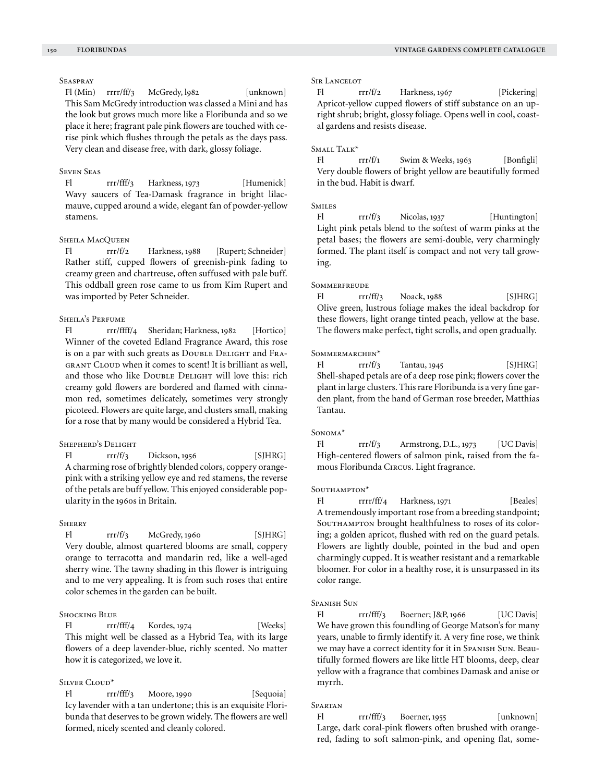# **SEASPRAY**

Fl (Min) rrrr/ff/3 McGredy, 1982 [unknown] This Sam McGredy introduction was classed a Mini and has the look but grows much more like a Floribunda and so we place it here; fragrant pale pink flowers are touched with cerise pink which flushes through the petals as the days pass. Very clean and disease free, with dark, glossy foliage.

### Seven Seas

Fl rrr/fff/3 Harkness, 1973 [Humenick] Wavy saucers of Tea-Damask fragrance in bright lilacmauve, cupped around a wide, elegant fan of powder-yellow stamens.

# SHEILA MACQUEEN

Fl rrr/f/2 Harkness, 1988 [Rupert; Schneider] Rather stiff, cupped flowers of greenish-pink fading to creamy green and chartreuse, often suffused with pale buff. This oddball green rose came to us from Kim Rupert and was imported by Peter Schneider.

# SHEILA'S PERFUME

Fl rrr/ffff/4 Sheridan; Harkness, 1982 [Hortico] Winner of the coveted Edland Fragrance Award, this rose is on a par with such greats as Double Delight and Fragrant Cloud when it comes to scent! It is brilliant as well, and those who like DOUBLE DELIGHT will love this: rich creamy gold flowers are bordered and flamed with cinnamon red, sometimes delicately, sometimes very strongly picoteed. Flowers are quite large, and clusters small, making for a rose that by many would be considered a Hybrid Tea.

### Shepherd's Delight

Fl  $rrr/f/3$  Dickson, 1956 [SJHRG] A charming rose of brightly blended colors, coppery orangepink with a striking yellow eye and red stamens, the reverse of the petals are buff yellow. This enjoyed considerable popularity in the 1960s in Britain.

### **SHERRY**

 $FI$   $rr/f/3$   $McGredy, 1960$  [SJHRG] Very double, almost quartered blooms are small, coppery orange to terracotta and mandarin red, like a well-aged sherry wine. The tawny shading in this flower is intriguing and to me very appealing. It is from such roses that entire color schemes in the garden can be built.

#### Shocking Blue

Fl rrr/fff/4 Kordes, 1974 [Weeks] This might well be classed as a Hybrid Tea, with its large flowers of a deep lavender-blue, richly scented. No matter how it is categorized, we love it.

### Silver Cloud\*

Fl rrr/fff/3 Moore, 1990 [Sequoia] Icy lavender with a tan undertone; this is an exquisite Floribunda that deserves to be grown widely. The flowers are well formed, nicely scented and cleanly colored.

### Sir Lancelot

Fl rrr/f/2 Harkness, 1967 [Pickering] Apricot-yellow cupped flowers of stiff substance on an upright shrub; bright, glossy foliage. Opens well in cool, coastal gardens and resists disease.

#### Small Talk\*

Fl  $rrr/f_1$  Swim & Weeks, 1963 [Bonfigli] Very double flowers of bright yellow are beautifully formed in the bud. Habit is dwarf.

### **SMILES**

Fl rrr/f/3 Nicolas, 1937 [Huntington] Light pink petals blend to the softest of warm pinks at the petal bases; the flowers are semi-double, very charmingly formed. The plant itself is compact and not very tall growing.

#### **SOMMERFREUDE**

 $FI$   $rr/ff/3$  Noack, 1988 [SJHRG] Olive green, lustrous foliage makes the ideal backdrop for these flowers, light orange tinted peach, yellow at the base. The flowers make perfect, tight scrolls, and open gradually.

#### SOMMERMARCHEN\*

Fl  $rrr/f/3$  Tantau, 1945 [SJHRG] Shell-shaped petals are of a deep rose pink; flowers cover the plant in large clusters. This rare Floribunda is a very fine garden plant, from the hand of German rose breeder, Matthias Tantau.

#### Sonoma\*

Fl rrr/f/3 Armstrong, D.L., 1973 [UC Davis] High-centered flowers of salmon pink, raised from the famous Floribunda Circus. Light fragrance.

#### SOUTHAMPTON<sup>\*</sup>

Fl rrrr/ff/4 Harkness, 1971 [Beales] A tremendously important rose from a breeding standpoint; SOUTHAMPTON brought healthfulness to roses of its coloring; a golden apricot, flushed with red on the guard petals. Flowers are lightly double, pointed in the bud and open charmingly cupped. It is weather resistant and a remarkable bloomer. For color in a healthy rose, it is unsurpassed in its color range.

# Spanish Sun

Fl rrr/fff/3 Boerner; J&P, 1966 [UC Davis] We have grown this foundling of George Matson's for many years, unable to firmly identify it. A very fine rose, we think we may have a correct identity for it in Spanish Sun. Beautifully formed flowers are like little HT blooms, deep, clear yellow with a fragrance that combines Damask and anise or myrrh.

### Spartan

Fl rrr/fff/3 Boerner, 1955 [unknown] Large, dark coral-pink flowers often brushed with orangered, fading to soft salmon-pink, and opening flat, some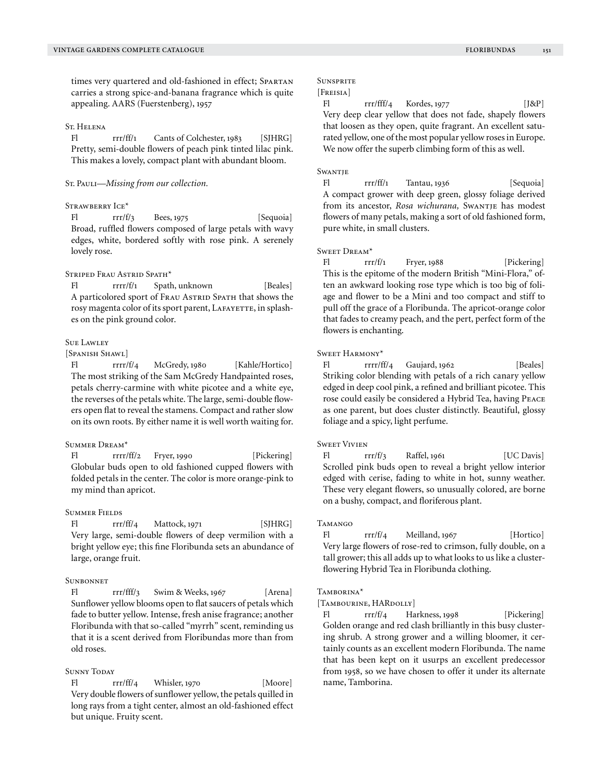times very quartered and old-fashioned in effect; Spartan carries a strong spice-and-banana fragrance which is quite appealing. AARS (Fuerstenberg), 1957

#### St. Helena

Fl rrr/ff/1 Cants of Colchester, 1983 [SJHRG] Pretty, semi-double flowers of peach pink tinted lilac pink. This makes a lovely, compact plant with abundant bloom.

### St. Pauli-*Missing from our collection*.

# STRAWBERRY ICE\*

Fl rrr/f/3 Bees, 1975 [Sequoia] Broad, ruffled flowers composed of large petals with wavy edges, white, bordered softly with rose pink. A serenely lovely rose.

# STRIPED FRAU ASTRID SPATH<sup>\*</sup>

Fl rrrr/f/1 Spath, unknown [Beales] A particolored sport of FRAU ASTRID SPATH that shows the rosy magenta color of its sport parent, LAFAYETTE, in splashes on the pink ground color.

### Sue Lawley

### [Spanish Shawl]

Fl rrrr/f/4 McGredy, 1980 [Kahle/Hortico] The most striking of the Sam McGredy Handpainted roses, petals cherry-carmine with white picotee and a white eye, the reverses of the petals white. The large, semi-double flowers open flat to reveal the stamens. Compact and rather slow on its own roots. By either name it is well worth waiting for.

# Summer Dream\*

Fl rrrr/ff/2 Fryer, 1990 [Pickering] Globular buds open to old fashioned cupped flowers with folded petals in the center. The color is more orange-pink to my mind than apricot.

### Summer Fields

 $FI$   $rr/ff/4$   $Match, 1971$   $[SHRG]$ Very large, semi-double flowers of deep vermilion with a bright yellow eye; this fine Floribunda sets an abundance of large, orange fruit.

### **SUNBONNET**

Fl rrr/fff/3 Swim & Weeks, 1967 [Arena] Sunflower yellow blooms open to flat saucers of petals which fade to butter yellow. Intense, fresh anise fragrance; another Floribunda with that so-called "myrrh" scent, reminding us that it is a scent derived from Floribundas more than from old roses.

### **SUNNY TODAY**

Fl  $rr/ff/4$  Whisler, 1970 [Moore] Very double flowers of sunflower yellow, the petals quilled in long rays from a tight center, almost an old-fashioned effect but unique. Fruity scent.

# **SUNSPRITE**

# [Freisia]

Fl rrr/fff/4 Kordes, 1977 [J&P] Very deep clear yellow that does not fade, shapely flowers that loosen as they open, quite fragrant. An excellent saturated yellow, one of the most popular yellow roses in Europe. We now offer the superb climbing form of this as well.

### **SWANTJE**

Fl rrr/ff/1 Tantau, 1936 [Sequoia] A compact grower with deep green, glossy foliage derived from its ancestor, *Rosa wichurana,* Swantje has modest flowers of many petals, making a sort of old fashioned form, pure white, in small clusters.

### Sweet Dream\*

Fl  $rr/f/1$  Fryer, 1988 [Pickering] This is the epitome of the modern British "Mini-Flora," often an awkward looking rose type which is too big of foliage and flower to be a Mini and too compact and stiff to pull off the grace of a Floribunda. The apricot-orange color that fades to creamy peach, and the pert, perfect form of the flowers is enchanting.

### Sweet Harmony\*

Fl rrrr/ff/4 Gaujard, 1962 [Beales] Striking color blending with petals of a rich canary yellow edged in deep cool pink, a refined and brilliant picotee. This rose could easily be considered a Hybrid Tea, having Peace as one parent, but does cluster distinctly. Beautiful, glossy foliage and a spicy, light perfume.

#### Sweet Vivien

Fl  $rrr/f/3$  Raffel, 1961 [UC Davis] Scrolled pink buds open to reveal a bright yellow interior edged with cerise, fading to white in hot, sunny weather. These very elegant flowers, so unusually colored, are borne on a bushy, compact, and floriferous plant.

### Tamango

Fl rrr/f/4 Meilland, 1967 [Hortico] Very large flowers of rose-red to crimson, fully double, on a tall grower; this all adds up to what looks to us like a clusterflowering Hybrid Tea in Floribunda clothing.

# Tamborina\*

[TAMBOURINE, HARDOLLY]

Fl rrr/f/4 Harkness, 1998 [Pickering] Golden orange and red clash brilliantly in this busy clustering shrub. A strong grower and a willing bloomer, it certainly counts as an excellent modern Floribunda. The name that has been kept on it usurps an excellent predecessor from 1958, so we have chosen to offer it under its alternate name, Tamborina.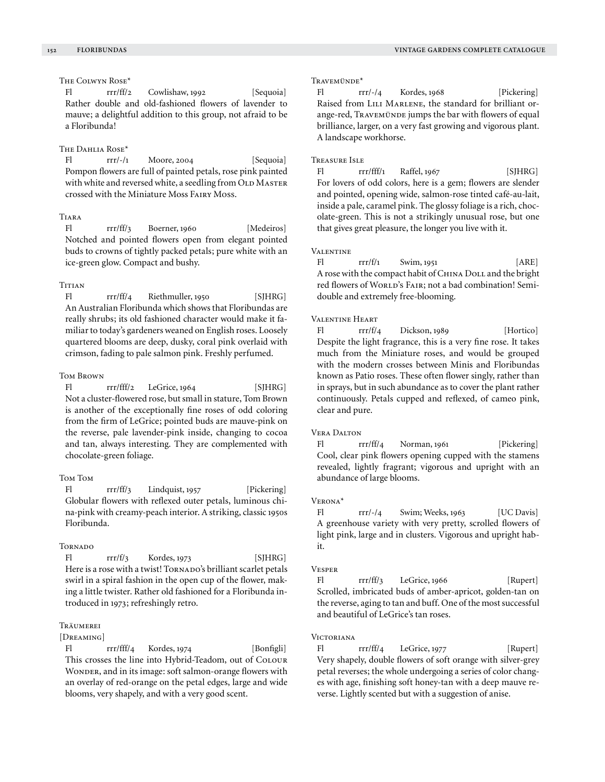# The Colwyn Rose\*

Fl rrr/ff/2 Cowlishaw, 1992 [Sequoia] Rather double and old-fashioned flowers of lavender to mauve; a delightful addition to this group, not afraid to be a Floribunda!

# The Dahlia Rose<sup>\*</sup>

Fl  $rrr/-/1$  Moore, 2004 [Sequoia] Pompon flowers are full of painted petals, rose pink painted with white and reversed white, a seedling from OLD MASTER crossed with the Miniature Moss Fairy Moss.

# Tiara

Fl rrr/ff/3 Boerner, 1960 [Medeiros] Notched and pointed flowers open from elegant pointed buds to crowns of tightly packed petals; pure white with an ice-green glow. Compact and bushy.

# **TITIAN**

Fl rrr/ff/4 Riethmuller, 1950 [SJHRG] An Australian Floribunda which shows that Floribundas are really shrubs; its old fashioned character would make it familiar to today's gardeners weaned on English roses. Loosely quartered blooms are deep, dusky, coral pink overlaid with crimson, fading to pale salmon pink. Freshly perfumed.

# Tom Brown

Fl rrr/fff/2 LeGrice, 1964 [SJHRG] Not a cluster-flowered rose, but small in stature, Tom Brown is another of the exceptionally fine roses of odd coloring from the firm of LeGrice; pointed buds are mauve-pink on the reverse, pale lavender-pink inside, changing to cocoa and tan, always interesting. They are complemented with chocolate-green foliage.

### Tom Tom

Fl rrr/ff/3 Lindquist, 1957 [Pickering] Globular flowers with reflexed outer petals, luminous china-pink with creamy-peach interior. A striking, classic 1950s Floribunda.

### **TORNADO**

 $FI$   $rrr/f/3$  Kordes, 1973 [SJHRG] Here is a rose with a twist! TORNADO's brilliant scarlet petals swirl in a spiral fashion in the open cup of the flower, making a little twister. Rather old fashioned for a Floribunda introduced in 1973; refreshingly retro.

# **TRÄUMEREI**

### [DREAMING]

Fl rrr/fff/4 Kordes, 1974 [Bonfigli] This crosses the line into Hybrid-Teadom, out of Colour WONDER, and in its image: soft salmon-orange flowers with an overlay of red-orange on the petal edges, large and wide blooms, very shapely, and with a very good scent.

Travemünde\*

Fl rrr/-/4 Kordes, 1968 [Pickering] Raised from LILI MARLENE, the standard for brilliant orange-red, Travemünde jumps the bar with flowers of equal brilliance, larger, on a very fast growing and vigorous plant. A landscape workhorse.

### Treasure Isle

Fl rrr/fff/1 Raffel, 1967 [SJHRG] For lovers of odd colors, here is a gem; flowers are slender and pointed, opening wide, salmon-rose tinted café-au-lait, inside a pale, caramel pink. The glossy foliage is a rich, chocolate-green. This is not a strikingly unusual rose, but one that gives great pleasure, the longer you live with it.

### **VALENTINE**

Fl  $rrr/f/1$  Swim, 1951 [ARE] A rose with the compact habit of CHINA DOLL and the bright red flowers of WORLD's FAIR; not a bad combination! Semidouble and extremely free-blooming.

### VALENTINE HEART

Fl rrr/f/4 Dickson, 1989 [Hortico] Despite the light fragrance, this is a very fine rose. It takes much from the Miniature roses, and would be grouped with the modern crosses between Minis and Floribundas known as Patio roses. These often flower singly, rather than in sprays, but in such abundance as to cover the plant rather continuously. Petals cupped and reflexed, of cameo pink, clear and pure.

### Vera Dalton

Fl rrr/ff/4 Norman, 1961 [Pickering] Cool, clear pink flowers opening cupped with the stamens revealed, lightly fragrant; vigorous and upright with an abundance of large blooms.

# Verona\*

Fl rrr/-/4 Swim; Weeks, 1963 [UC Davis] A greenhouse variety with very pretty, scrolled flowers of light pink, large and in clusters. Vigorous and upright habit.

### Vesper

Fl rrr/ff/3 LeGrice, 1966 [Rupert] Scrolled, imbricated buds of amber-apricot, golden-tan on the reverse, aging to tan and buff. One of the most successful and beautiful of LeGrice's tan roses.

# **VICTORIANA**

Fl rrr/ff/4 LeGrice, 1977 [Rupert] Very shapely, double flowers of soft orange with silver-grey petal reverses; the whole undergoing a series of color changes with age, finishing soft honey-tan with a deep mauve reverse. Lightly scented but with a suggestion of anise.